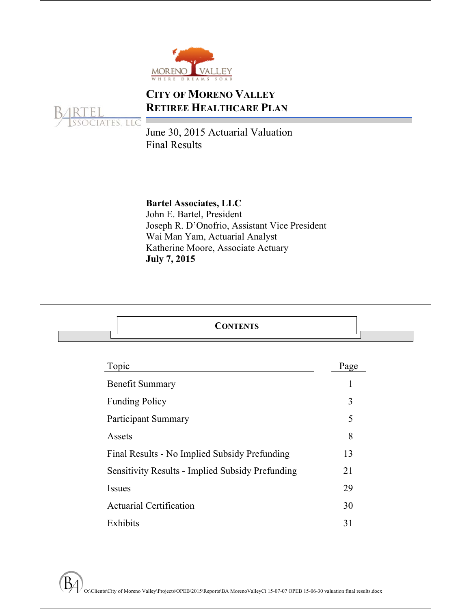

# **CITY OF MORENO VALLEY RETIREE HEALTHCARE PLAN**



June 30, 2015 Actuarial Valuation Final Results

# **Bartel Associates, LLC**

John E. Bartel, President Joseph R. D'Onofrio, Assistant Vice President Wai Man Yam, Actuarial Analyst Katherine Moore, Associate Actuary **July 7, 2015** 

| <b>CONTENTS</b> |
|-----------------|
|-----------------|

| Topic                                                   | Page |
|---------------------------------------------------------|------|
| <b>Benefit Summary</b>                                  |      |
| <b>Funding Policy</b>                                   | 3    |
| <b>Participant Summary</b>                              | 5    |
| Assets                                                  | 8    |
| Final Results - No Implied Subsidy Prefunding           | 13   |
| <b>Sensitivity Results - Implied Subsidy Prefunding</b> | 21   |
| <b>Issues</b>                                           | 29   |
| <b>Actuarial Certification</b>                          | 30   |
| Exhibits                                                | 31   |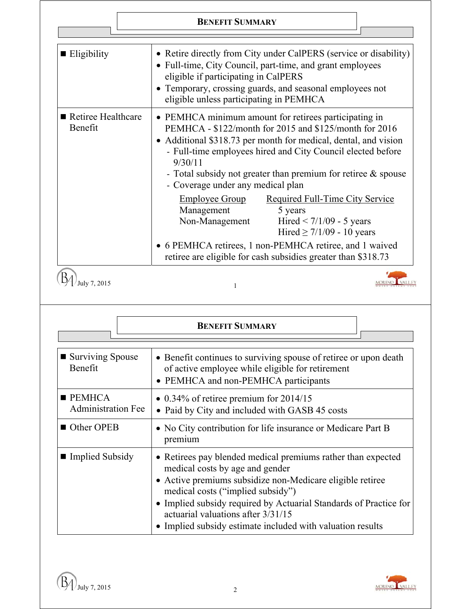## **BENEFIT SUMMARY**

| $\blacksquare$ Eligibility    | • Retire directly from City under CalPERS (service or disability)<br>• Full-time, City Council, part-time, and grant employees<br>eligible if participating in CalPERS<br>• Temporary, crossing guards, and seasonal employees not<br>eligible unless participating in PEMHCA                                                                                         |  |  |  |  |
|-------------------------------|-----------------------------------------------------------------------------------------------------------------------------------------------------------------------------------------------------------------------------------------------------------------------------------------------------------------------------------------------------------------------|--|--|--|--|
| Retiree Healthcare<br>Benefit | • PEMHCA minimum amount for retirees participating in<br>PEMHCA - \$122/month for 2015 and \$125/month for 2016<br>• Additional \$318.73 per month for medical, dental, and vision<br>- Full-time employees hired and City Council elected before<br>9/30/11<br>- Total subsidy not greater than premium for retiree $\&$ spouse<br>- Coverage under any medical plan |  |  |  |  |
|                               | <b>Employee Group</b><br><b>Required Full-Time City Service</b><br>Management<br>5 years<br>Non-Management<br>Hired $< 7/1/09 - 5$ years<br>Hired $\geq$ 7/1/09 - 10 years                                                                                                                                                                                            |  |  |  |  |
|                               | • 6 PEMHCA retirees, 1 non-PEMHCA retiree, and 1 waived<br>retiree are eligible for cash subsidies greater than \$318.73                                                                                                                                                                                                                                              |  |  |  |  |
| uly 7, 2015                   |                                                                                                                                                                                                                                                                                                                                                                       |  |  |  |  |

|                                                    | <b>BENEFIT SUMMARY</b>                                                                                                                                                                                                                                                                                                                                                     |
|----------------------------------------------------|----------------------------------------------------------------------------------------------------------------------------------------------------------------------------------------------------------------------------------------------------------------------------------------------------------------------------------------------------------------------------|
| ■ Surviving Spouse<br>Benefit                      | • Benefit continues to surviving spouse of retiree or upon death<br>of active employee while eligible for retirement<br>• PEMHCA and non-PEMHCA participants                                                                                                                                                                                                               |
| $\blacksquare$ PEMHCA<br><b>Administration Fee</b> | • $0.34\%$ of retiree premium for 2014/15<br>• Paid by City and included with GASB 45 costs                                                                                                                                                                                                                                                                                |
| ■ Other OPEB                                       | • No City contribution for life insurance or Medicare Part B<br>premium                                                                                                                                                                                                                                                                                                    |
| ■ Implied Subsidy                                  | • Retirees pay blended medical premiums rather than expected<br>medical costs by age and gender<br>• Active premiums subsidize non-Medicare eligible retiree<br>medical costs ("implied subsidy")<br>• Implied subsidy required by Actuarial Standards of Practice for<br>actuarial valuations after 3/31/15<br>• Implied subsidy estimate included with valuation results |

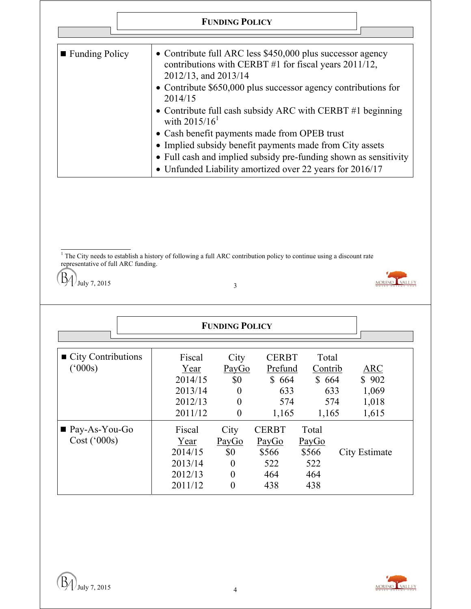|                                                                                                                                                                                                                                                                                                                                                                                                                                                                                                                                                                               |  |                                                                                                                     | <b>FUNDING POLICY</b> |              |                |                         |  |
|-------------------------------------------------------------------------------------------------------------------------------------------------------------------------------------------------------------------------------------------------------------------------------------------------------------------------------------------------------------------------------------------------------------------------------------------------------------------------------------------------------------------------------------------------------------------------------|--|---------------------------------------------------------------------------------------------------------------------|-----------------------|--------------|----------------|-------------------------|--|
|                                                                                                                                                                                                                                                                                                                                                                                                                                                                                                                                                                               |  |                                                                                                                     |                       |              |                |                         |  |
| • Contribute full ARC less \$450,000 plus successor agency<br>■ Funding Policy<br>contributions with CERBT #1 for fiscal years $2011/12$ ,<br>2012/13, and 2013/14<br>• Contribute \$650,000 plus successor agency contributions for<br>2014/15<br>• Contribute full cash subsidy ARC with CERBT #1 beginning<br>with $2015/16^1$<br>• Cash benefit payments made from OPEB trust<br>• Implied subsidy benefit payments made from City assets<br>• Full cash and implied subsidy pre-funding shown as sensitivity<br>• Unfunded Liability amortized over 22 years for 2016/17 |  |                                                                                                                     |                       |              |                |                         |  |
|                                                                                                                                                                                                                                                                                                                                                                                                                                                                                                                                                                               |  |                                                                                                                     |                       |              |                |                         |  |
| representative of full ARC funding.<br>July 7, 2015                                                                                                                                                                                                                                                                                                                                                                                                                                                                                                                           |  | The City needs to establish a history of following a full ARC contribution policy to continue using a discount rate | 3                     |              |                |                         |  |
|                                                                                                                                                                                                                                                                                                                                                                                                                                                                                                                                                                               |  |                                                                                                                     |                       |              |                |                         |  |
|                                                                                                                                                                                                                                                                                                                                                                                                                                                                                                                                                                               |  |                                                                                                                     |                       |              |                |                         |  |
|                                                                                                                                                                                                                                                                                                                                                                                                                                                                                                                                                                               |  |                                                                                                                     | <b>FUNDING POLICY</b> |              |                |                         |  |
|                                                                                                                                                                                                                                                                                                                                                                                                                                                                                                                                                                               |  |                                                                                                                     |                       |              |                |                         |  |
|                                                                                                                                                                                                                                                                                                                                                                                                                                                                                                                                                                               |  | Fiscal                                                                                                              | City                  | <b>CERBT</b> | Total          |                         |  |
| $(^{6}000s)$                                                                                                                                                                                                                                                                                                                                                                                                                                                                                                                                                                  |  | Year                                                                                                                | PayGo                 | Prefund      | <u>Contrib</u> | $\overline{\text{ARC}}$ |  |
|                                                                                                                                                                                                                                                                                                                                                                                                                                                                                                                                                                               |  | 2014/15                                                                                                             | \$0                   | \$664        | \$664          | \$902                   |  |
| City Contributions                                                                                                                                                                                                                                                                                                                                                                                                                                                                                                                                                            |  | 2013/14                                                                                                             | 0<br>$\theta$         | 633          | 633            | 1,069                   |  |
|                                                                                                                                                                                                                                                                                                                                                                                                                                                                                                                                                                               |  | 2012/13<br>2011/12                                                                                                  | $\boldsymbol{0}$      | 574<br>1,165 | 574<br>1,165   | 1,018<br>1,615          |  |
| $\blacksquare$ Pay-As-You-Go                                                                                                                                                                                                                                                                                                                                                                                                                                                                                                                                                  |  | Fiscal                                                                                                              | City                  | <b>CERBT</b> | Total          |                         |  |



2013/14 0 522 522<br>2012/13 0 464 464  $2012/13$  0 464 464<br>  $2011/12$  0 438 438

 $2011/12$ 

2014/15 \$0 \$566 \$566 City Estimate<br>2013/14 0 522 522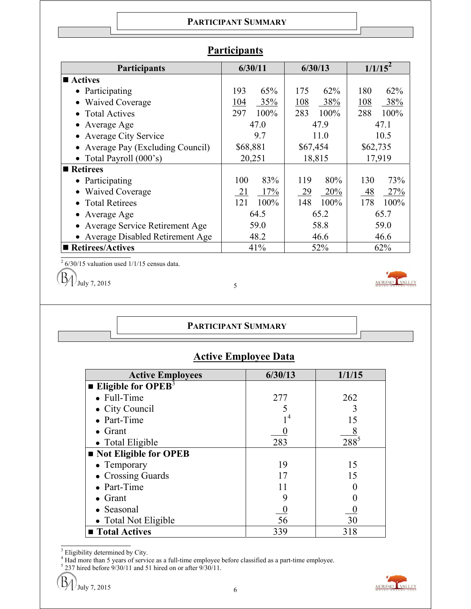#### **PARTICIPANT SUMMARY**

| <b>Participants</b>               | 6/30/11      | 6/30/13        | $1/1/15^2$  |  |
|-----------------------------------|--------------|----------------|-------------|--|
| ■ Actives                         |              |                |             |  |
| • Participating                   | 193<br>65%   | 175<br>62%     | 62%<br>180  |  |
| • Waived Coverage                 | 35%<br>104   | 108<br>38%     | 38%<br>108  |  |
| • Total Actives                   | 297<br>100%  | 283<br>100%    | 288<br>100% |  |
| • Average Age                     | 47.0         | 47.9           | 47.1        |  |
| • Average City Service            | 9.7          | 11.0           | 10.5        |  |
| Average Pay (Excluding Council)   | \$68,881     | \$67,454       | \$62,735    |  |
| • Total Payroll $(000's)$         | 20,251       | 18,815         | 17,919      |  |
| ■ Retirees                        |              |                |             |  |
| • Participating                   | 83%<br>100   | 80%<br>119     | 73%<br>130  |  |
| • Waived Coverage                 | 17%<br>21    | 20%<br>29      | -48<br>27%  |  |
| • Total Retirees                  | 100%<br>121  | 148<br>$100\%$ | 178<br>100% |  |
| • Average Age                     | 64.5<br>65.2 |                | 65.7        |  |
| Average Service Retirement Age    | 59.0         | 58.8           | 59.0        |  |
| • Average Disabled Retirement Age | 48.2         | 46.6           | 46.6        |  |
| ■ Retirees/Actives                | 41%          | 52%            | 62%         |  |

# **Participants**

 $2\frac{6}{30}$ /15 valuation used 1/1/15 census data.

B  $J_{\text{July 7, 2015}}$  5

## **PARTICIPANT SUMMARY**

# **Active Employee Data**

| <b>Active Employees</b>               | 6/30/13        | 1/1/15  |
|---------------------------------------|----------------|---------|
| <b>Eligible for OPEB</b> <sup>3</sup> |                |         |
| $\bullet$ Full-Time                   | 277            | 262     |
| • City Council                        |                |         |
| • Part-Time                           | 1 <sup>4</sup> | 15      |
| $\bullet$ Grant                       |                |         |
| • Total Eligible                      | 283            | $288^5$ |
| Not Eligible for OPEB                 |                |         |
| $\bullet$ Temporary                   | 19             | 15      |
| • Crossing Guards                     | 17             | 15      |
| • Part-Time                           |                |         |
| $\bullet$ Grant                       |                |         |
| • Seasonal                            |                |         |
| • Total Not Eligible                  | 56             | 30      |
| ■ Total Actives                       | 339            | 318     |

<sup>3</sup> Eligibility determined by City.<br><sup>4</sup> Had more than 5 years of service as a full-time employee before classified as a part-time employee.<br><sup>5</sup> 237 hired before 9/30/11 and 51 hired on or after 9/30/11.

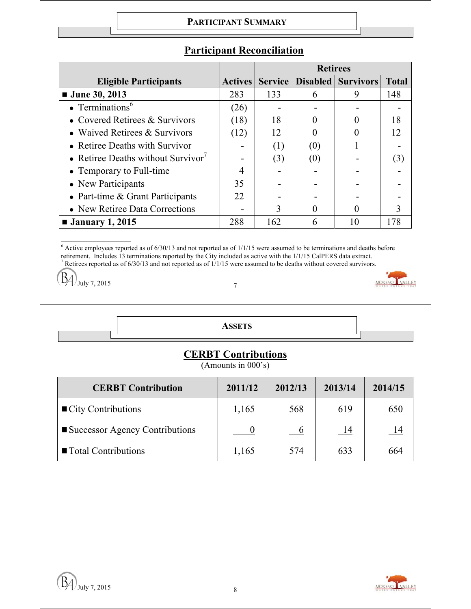#### **PARTICIPANT SUMMARY**

|                                                |                | <b>Retirees</b> |     |                           |              |
|------------------------------------------------|----------------|-----------------|-----|---------------------------|--------------|
| <b>Eligible Participants</b>                   | <b>Actives</b> | <b>Service</b>  |     | <b>Disabled Survivors</b> | <b>Total</b> |
| $\blacksquare$ June 30, 2013                   | 283            | 133             | 6   | 9                         | 148          |
| • Terminations <sup>6</sup>                    | (26)           |                 |     |                           |              |
| • Covered Retirees $&$ Survivors               | (18)           | 18              |     |                           | 18           |
| • Waived Retirees $&$ Survivors                | (12)           | 12              |     |                           | 12           |
| • Retiree Deaths with Survivor                 |                | (1)             | (0) |                           |              |
| • Retiree Deaths without Survivor <sup>7</sup> |                | (3)             | (0) |                           | (3)          |
| • Temporary to Full-time                       |                |                 |     |                           |              |
| • New Participants                             | 35             |                 |     |                           |              |
| • Part-time $& Grant$ Participants             | 22             |                 |     |                           |              |
| • New Retiree Data Corrections                 |                | 3               |     |                           |              |
| $\blacksquare$ January 1, 2015                 | 288            | 162             | h   | 10                        | 178          |

# **Participant Reconciliation**

 $\overline{6}$  Active employees reported as of 6/30/13 and not reported as of 1/1/15 were assumed to be terminations and deaths before retirement. Includes 13 terminations reported by the City included as active with the  $1/1/15$  CalPERS data extract.<br><sup>7</sup> Retirees reported as of  $6/30/13$  and not reported as of  $1/1/15$  were assumed to be deaths without

B  $\frac{1}{2}$  July 7, 2015 7

| <b>ASSETS</b> |  |
|---------------|--|
|               |  |

# **CERBT Contributions**

(Amounts in 000's)

| <b>CERBT Contribution</b>         | 2011/12 | 2012/13        | 2013/14    | 2014/15 |
|-----------------------------------|---------|----------------|------------|---------|
| $\blacksquare$ City Contributions | 1,165   | 568            | 619        | 650     |
| ■ Successor Agency Contributions  |         | $\overline{6}$ | <u>_14</u> |         |
| ■ Total Contributions             | 1,165   | 574            | 633        | 664     |

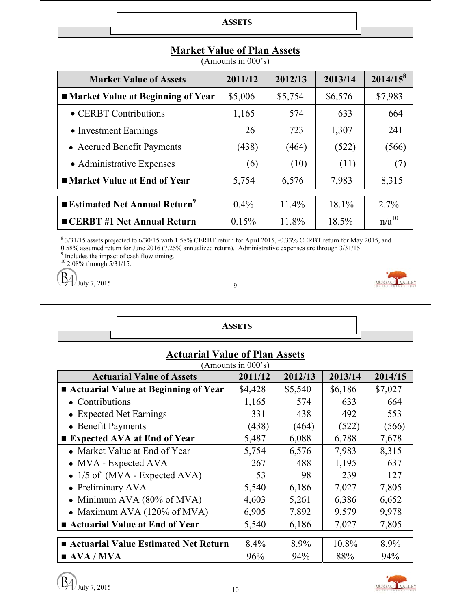| <b>ASSETS</b> |  |
|---------------|--|
|               |  |

| <b>Market Value of Assets</b>                   | 2011/12 | 2012/13 | 2013/14 | $2014/15^8$ |
|-------------------------------------------------|---------|---------|---------|-------------|
| ■ Market Value at Beginning of Year             | \$5,006 | \$5,754 | \$6,576 | \$7,983     |
| • CERBT Contributions                           | 1,165   | 574     | 633     | 664         |
| • Investment Earnings                           | 26      | 723     | 1,307   | 241         |
| • Accrued Benefit Payments                      | (438)   | (464)   | (522)   | (566)       |
| • Administrative Expenses                       | (6)     | (10)    | (11)    | (7)         |
| ■ Market Value at End of Year                   | 5,754   | 6,576   | 7,983   | 8,315       |
| <b>Extimated Net Annual Return</b> <sup>9</sup> |         |         |         |             |
|                                                 | $0.4\%$ | 11.4%   | 18.1%   | 2.7%        |
| <b>CERBT</b> #1 Net Annual Return               | 0.15%   | 11.8%   | 18.5%   | $n/a^{10}$  |

# **Market Value of Plan Assets**

(Amounts in 000's)

<sup>8</sup> 3/31/15 assets projected to 6/30/15 with 1.58% CERBT return for April 2015, -0.33% CERBT return for May 2015, and 0.58% assumed return for June 2016 (7.25% annualized return). Administrative expenses are through  $3/31/15$ .<br><sup>9</sup> Includes the impact of cash flow timing.

 $10$  2.08% through  $5/31/15$ .

B  $1$  July 7, 2015 9

| <b>ASSETS</b>                                               |         |         |         |         |  |  |  |  |
|-------------------------------------------------------------|---------|---------|---------|---------|--|--|--|--|
| <b>Actuarial Value of Plan Assets</b><br>(Amounts in 000's) |         |         |         |         |  |  |  |  |
| <b>Actuarial Value of Assets</b>                            | 2011/12 | 2012/13 | 2013/14 | 2014/15 |  |  |  |  |
| ■ Actuarial Value at Beginning of Year                      | \$4,428 | \$5,540 | \$6,186 | \$7,027 |  |  |  |  |
| $\bullet$ Contributions                                     | 1,165   | 574     | 633     | 664     |  |  |  |  |
| • Expected Net Earnings                                     | 331     | 438     | 492     | 553     |  |  |  |  |
| • Benefit Payments                                          | (438)   | (464)   | (522)   | (566)   |  |  |  |  |
| ■ Expected AVA at End of Year                               | 5,487   | 6,088   | 6,788   | 7,678   |  |  |  |  |
| • Market Value at End of Year                               | 5,754   | 6,576   | 7,983   | 8,315   |  |  |  |  |
| • MVA - Expected AVA                                        | 267     | 488     | 1,195   | 637     |  |  |  |  |
| • $1/5$ of (MVA - Expected AVA)                             | 53      | 98      | 239     | 127     |  |  |  |  |
| • Preliminary AVA                                           | 5,540   | 6,186   | 7,027   | 7,805   |  |  |  |  |
| Minimum AVA $(80\% \text{ of MVA})$                         | 4,603   | 5,261   | 6,386   | 6,652   |  |  |  |  |
| • Maximum AVA $(120\% \text{ of MVA})$                      | 6,905   | 7,892   | 9,579   | 9,978   |  |  |  |  |
| ■ Actuarial Value at End of Year                            | 5,540   | 6,186   | 7,027   | 7,805   |  |  |  |  |
| ■ Actuarial Value Estimated Net Return                      | 8.4%    | 8.9%    | 10.8%   | 8.9%    |  |  |  |  |
| $\blacksquare$ AVA / MVA                                    | 96%     | 94%     | 88%     | 94%     |  |  |  |  |



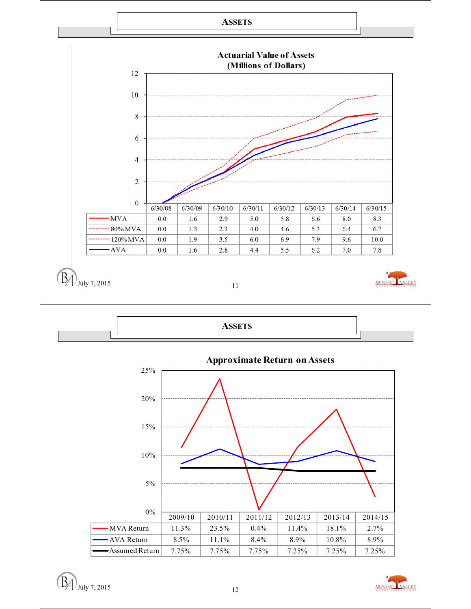



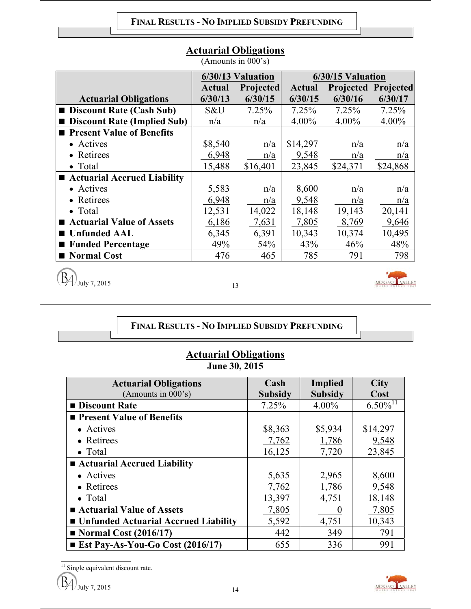| (Allioulits III vuu s)             |               |                   |               |                   |                            |  |  |  |  |
|------------------------------------|---------------|-------------------|---------------|-------------------|----------------------------|--|--|--|--|
|                                    |               | 6/30/13 Valuation |               | 6/30/15 Valuation |                            |  |  |  |  |
|                                    | <b>Actual</b> | Projected         | <b>Actual</b> |                   | <b>Projected Projected</b> |  |  |  |  |
| <b>Actuarial Obligations</b>       | 6/30/13       | 6/30/15           | 6/30/15       | 6/30/16           | 6/30/17                    |  |  |  |  |
| <b>Discount Rate (Cash Sub)</b>    | S&U           | 7.25%             | 7.25%         | 7.25%             | 7.25%                      |  |  |  |  |
| <b>Discount Rate (Implied Sub)</b> | n/a           | n/a               | $4.00\%$      | $4.00\%$          | 4.00%                      |  |  |  |  |
| ■ Present Value of Benefits        |               |                   |               |                   |                            |  |  |  |  |
| • Actives                          | \$8,540       | n/a               | \$14,297      | n/a               | n/a                        |  |  |  |  |
| • Retirees                         | 6,948         | n/a               | 9,548         | n/a               | n/a                        |  |  |  |  |
| • Total                            | 15,488        | \$16,401          | 23,845        | \$24,371          | \$24,868                   |  |  |  |  |
| ■ Actuarial Accrued Liability      |               |                   |               |                   |                            |  |  |  |  |
| • Actives                          | 5,583         | n/a               | 8,600         | n/a               | n/a                        |  |  |  |  |
| • Retirees                         | 6,948         | n/a               | 9,548         | n/a               | n/a                        |  |  |  |  |
| • Total                            | 12,531        | 14,022            | 18,148        | 19,143            | 20,141                     |  |  |  |  |
| <b>Actuarial Value of Assets</b>   | 6,186         | 7,631             | 7,805         | 8,769             | 9,646                      |  |  |  |  |
| <b>Unfunded AAL</b>                | 6,345         | 6,391             | 10,343        | 10,374            | 10,495                     |  |  |  |  |
| ■ Funded Percentage                | 49%           | 54%               | 43%           | 46%               | 48%                        |  |  |  |  |
| ■ Normal Cost                      | 476           | 465               | 785           | 791               | 798                        |  |  |  |  |

# **Actuarial Obligations**

(Amounts in 000's)

 $\left(\frac{B}{\mu}\right)$  July 7, 2015

**FINAL RESULTS - NO IMPLIED SUBSIDY PREFUNDING**

| <b>Actuarial Obligations</b> |
|------------------------------|
| June 30, 2015                |

| <b>Actuarial Obligations</b>            | Cash           | <b>Implied</b> | <b>City</b>            |
|-----------------------------------------|----------------|----------------|------------------------|
| (Amounts in 000's)                      | <b>Subsidy</b> | <b>Subsidy</b> | Cost                   |
| <b>Discount Rate</b>                    | 7.25%          | $4.00\%$       | $6.50\%$ <sup>11</sup> |
| <b>Present Value of Benefits</b>        |                |                |                        |
| • Actives                               | \$8,363        | \$5,934        | \$14,297               |
| • Retirees                              | 7,762          | 1,786          | 9,548                  |
| $\bullet$ Total                         | 16,125         | 7,720          | 23,845                 |
| ■ Actuarial Accrued Liability           |                |                |                        |
| • Actives                               | 5,635          | 2,965          | 8,600                  |
| • Retirees                              | 7,762          | 1,786          | 9,548                  |
| $\bullet$ Total                         | 13,397         | 4,751          | 18,148                 |
| ■ Actuarial Value of Assets             | 7,805          | $\theta$       | 7,805                  |
| ■ Unfunded Actuarial Accrued Liability  | 5,592          | 4,751          | 10,343                 |
| $\blacksquare$ Normal Cost (2016/17)    | 442            | 349            | 791                    |
| <b>Ext Pay-As-You-Go Cost (2016/17)</b> | 655            | 336            | 991                    |

 $\frac{11}{11}$  Single equivalent discount rate.

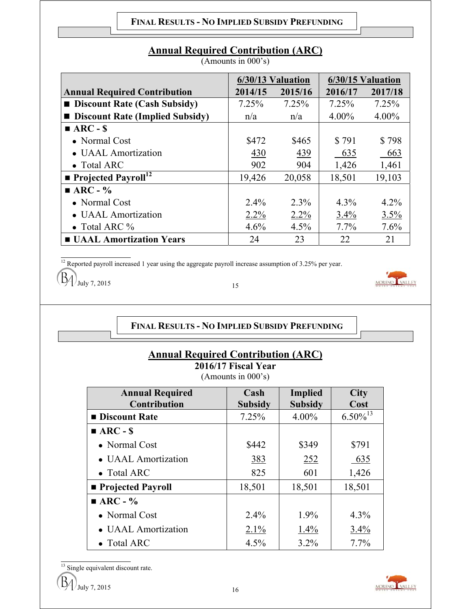|                                        |         | 6/30/13 Valuation |          | 6/30/15 Valuation |  |  |
|----------------------------------------|---------|-------------------|----------|-------------------|--|--|
| <b>Annual Required Contribution</b>    | 2014/15 | 2015/16           | 2016/17  | 2017/18           |  |  |
| <b>Discount Rate (Cash Subsidy)</b>    | 7.25%   | 7.25%             | 7.25%    | 7.25%             |  |  |
| <b>Discount Rate (Implied Subsidy)</b> | n/a     | n/a               | $4.00\%$ | 4.00%             |  |  |
| $ARC - S$                              |         |                   |          |                   |  |  |
| • Normal Cost                          | \$472   | \$465             | \$791    | \$798             |  |  |
| • UAAL Amortization                    | 430     | 439               | 635      | 663               |  |  |
| $\bullet$ Total ARC                    | 902     | 904               | 1,426    | 1,461             |  |  |
| <b>Projected Payroll</b> <sup>12</sup> | 19,426  | 20,058            | 18,501   | 19,103            |  |  |
| $\blacksquare$ ARC - %                 |         |                   |          |                   |  |  |
| • Normal Cost                          | $2.4\%$ | 2.3%              | $4.3\%$  | 4.2%              |  |  |
| • UAAL Amortization                    | $2.2\%$ | $2.2\%$           | 3.4%     | 3.5%              |  |  |
| • Total ARC $\%$                       | 4.6%    | 4.5%              | $7.7\%$  | 7.6%              |  |  |
| <b>UAAL Amortization Years</b>         | 24      | 23                | 22       | 21                |  |  |

# **Annual Required Contribution (ARC)**

(Amounts in 000's)

 $\frac{12}{12}$  Reported payroll increased 1 year using the aggregate payroll increase assumption of 3.25% per year.

 $J_{\text{July 7, 2015}}$  15

## **FINAL RESULTS - NO IMPLIED SUBSIDY PREFUNDING**

# **Annual Required Contribution (ARC)**

**2016/17 Fiscal Year**  (Amounts in 000's)

| <b>Annual Required</b><br><b>Contribution</b> | Cash<br><b>Subsidy</b> | Implied<br><b>Subsidy</b> | <b>City</b><br>Cost |
|-----------------------------------------------|------------------------|---------------------------|---------------------|
| <b>Discount Rate</b>                          | 7.25%                  | $4.00\%$                  | $6.50\%^{13}$       |
| $\blacksquare$ ARC - \$                       |                        |                           |                     |
| • Normal Cost                                 | \$442                  | \$349                     | \$791               |
| • UAAL Amortization                           | 383                    | 252                       | 635                 |
| • Total ARC                                   | 825                    | 601                       | 1,426               |
| ■ Projected Payroll                           | 18,501                 | 18,501                    | 18,501              |
| $\blacksquare$ ARC - %                        |                        |                           |                     |
| • Normal Cost                                 | $2.4\%$                | $1.9\%$                   | $4.3\%$             |
| • UAAL Amortization                           | $2.1\%$                | $1.4\%$                   | 3.4%                |
| $\bullet$ Total ARC                           | 4.5%                   | $3.2\%$                   | $7.7\%$             |

 $\frac{13}{13}$  Single equivalent discount rate.

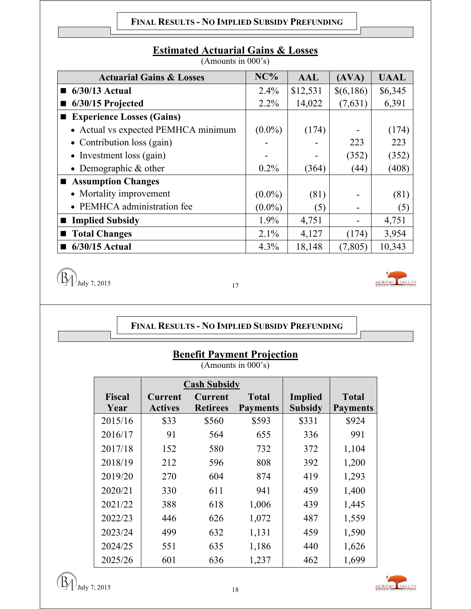#### **FINAL RESULTS - NO IMPLIED SUBSIDY PREFUNDING**

# **Estimated Actuarial Gains & Losses**

(Amounts in 000's)

| <b>Actuarial Gains &amp; Losses</b> | NC%       | <b>AAL</b> | (AVA)     | <b>UAAL</b> |
|-------------------------------------|-----------|------------|-----------|-------------|
| $6/30/13$ Actual<br>■               | 2.4%      | \$12,531   | \$(6,186) | \$6,345     |
| 6/30/15 Projected                   | 2.2%      | 14,022     | (7,631)   | 6,391       |
| <b>Experience Losses (Gains)</b>    |           |            |           |             |
| • Actual vs expected PEMHCA minimum | $(0.0\%)$ | (174)      |           | (174)       |
| • Contribution loss $(gain)$        |           |            | 223       | 223         |
| • Investment loss $(gain)$          |           |            | (352)     | (352)       |
| • Demographic $&$ other             | $0.2\%$   | (364)      | (44)      | (408)       |
| ■ Assumption Changes                |           |            |           |             |
| • Mortality improvement             | $(0.0\%)$ | (81)       |           | (81)        |
| • PEMHCA administration fee         | $(0.0\%)$ | (5)        |           | (5)         |
| <b>Implied Subsidy</b>              | 1.9%      | 4,751      |           | 4,751       |
| <b>Total Changes</b>                | 2.1%      | 4,127      | (174)     | 3,954       |
| $6/30/15$ Actual                    | 4.3%      | 18,148     | (7, 805)  | 10,343      |

 $\left(\overline{B_4}\right)$  July 7, 2015



## **FINAL RESULTS - NO IMPLIED SUBSIDY PREFUNDING**

# **Benefit Payment Projection**

(Amounts in 000's)

|               |                | <b>Cash Subsidy</b> |                 |                |                 |
|---------------|----------------|---------------------|-----------------|----------------|-----------------|
| <b>Fiscal</b> | <b>Current</b> | <b>Current</b>      | <b>Total</b>    | <b>Implied</b> | <b>Total</b>    |
| Year          | <b>Actives</b> | <b>Retirees</b>     | <b>Payments</b> | <b>Subsidy</b> | <b>Payments</b> |
| 2015/16       | \$33           | \$560               | \$593           | \$331          | \$924           |
| 2016/17       | 91             | 564                 | 655             | 336            | 991             |
| 2017/18       | 152            | 580                 | 732             | 372            | 1,104           |
| 2018/19       | 212            | 596                 | 808             | 392            | 1,200           |
| 2019/20       | 270            | 604                 | 874             | 419            | 1,293           |
| 2020/21       | 330            | 611                 | 941             | 459            | 1,400           |
| 2021/22       | 388            | 618                 | 1,006           | 439            | 1,445           |
| 2022/23       | 446            | 626                 | 1,072           | 487            | 1,559           |
| 2023/24       | 499            | 632                 | 1,131           | 459            | 1,590           |
| 2024/25       | 551            | 635                 | 1,186           | 440            | 1,626           |
| 2025/26       | 601            | 636                 | 1,237           | 462            | 1,699           |

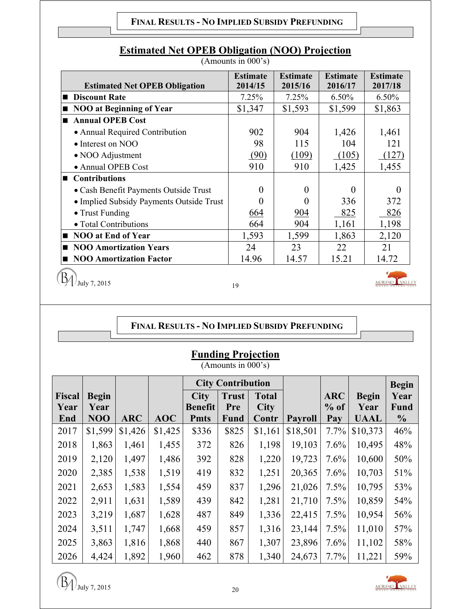#### **FINAL RESULTS - NO IMPLIED SUBSIDY PREFUNDING**

| <b>Estimated Net OPEB Obligation</b>      | <b>Estimate</b><br>2014/15 | <b>Estimate</b><br>2015/16 | <b>Estimate</b><br>2016/17 | <b>Estimate</b><br>2017/18 |
|-------------------------------------------|----------------------------|----------------------------|----------------------------|----------------------------|
| <b>Discount Rate</b><br>$\blacksquare$    | 7.25%                      | 7.25%                      | $6.50\%$                   | $6.50\%$                   |
| <b>NOO at Beginning of Year</b><br>■      | \$1,347                    | \$1,593                    | \$1,599                    | \$1,863                    |
| <b>Annual OPEB Cost</b><br>$\blacksquare$ |                            |                            |                            |                            |
| • Annual Required Contribution            | 902                        | 904                        | 1,426                      | 1,461                      |
| $\bullet$ Interest on NOO                 | 98                         | 115                        | 104                        | 121                        |
| • NOO Adjustment                          | (90)                       | (109)                      | (105)                      | (127)                      |
| • Annual OPEB Cost                        | 910                        | 910                        | 1,425                      | 1,455                      |
| <b>Contributions</b>                      |                            |                            |                            |                            |
| • Cash Benefit Payments Outside Trust     | $\Omega$                   | $\theta$                   | $\mathbf{0}$               |                            |
| • Implied Subsidy Payments Outside Trust  | $\mathbf{\Omega}$          | 0                          | 336                        | 372                        |
| • Trust Funding                           | 664                        | 904                        | 825                        | 826                        |
| • Total Contributions                     | 664                        | 904                        | 1,161                      | 1,198                      |
| <b>NOO at End of Year</b>                 | 1,593                      | 1,599                      | 1,863                      | 2,120                      |
| <b>NOO Amortization Years</b>             | 24                         | 23                         | 22                         | 21                         |
| <b>NOO Amortization Factor</b>            | 14.96                      | 14.57                      | 15.21                      | 14.72                      |

# **Estimated Net OPEB Obligation (NOO) Projection**

(Amounts in 000's)

 $\left(\frac{B}{10^{11}}\right)$  July 7, 2015

# **FINAL RESULTS - NO IMPLIED SUBSIDY PREFUNDING**

| <b>Funding Projection</b> |  |
|---------------------------|--|
|                           |  |

(Amounts in 000's)

|               |              |            |            | <b>City Contribution</b> |              |              |                |            | <b>Begin</b> |                |
|---------------|--------------|------------|------------|--------------------------|--------------|--------------|----------------|------------|--------------|----------------|
| <b>Fiscal</b> | <b>Begin</b> |            |            | <b>City</b>              | <b>Trust</b> | <b>Total</b> |                | <b>ARC</b> | <b>Begin</b> | Year           |
| Year          | Year         |            |            | <b>Benefit</b>           | Pre          | <b>City</b>  |                | $%$ of     | Year         | Fund           |
| End           | NOO          | <b>ARC</b> | <b>AOC</b> | <b>Pmts</b>              | <b>Fund</b>  | Contr        | <b>Payroll</b> | Pay        | <b>UAAL</b>  | $\frac{6}{10}$ |
| 2017          | \$1,599      | \$1,426    | \$1,425    | \$336                    | \$825        | \$1,161      | \$18,501       | $7.7\%$    | \$10,373     | 46%            |
| 2018          | 1,863        | 1,461      | 1,455      | 372                      | 826          | 1,198        | 19,103         | 7.6%       | 10,495       | 48%            |
| 2019          | 2,120        | 1,497      | 1,486      | 392                      | 828          | 1,220        | 19,723         | $7.6\%$    | 10,600       | 50%            |
| 2020          | 2,385        | 1,538      | 1,519      | 419                      | 832          | 1,251        | 20,365         | 7.6%       | 10,703       | 51%            |
| 2021          | 2,653        | 1,583      | 1,554      | 459                      | 837          | 1,296        | 21,026         | 7.5%       | 10,795       | 53%            |
| 2022          | 2,911        | 1,631      | 1,589      | 439                      | 842          | 1,281        | 21,710         | 7.5%       | 10,859       | 54%            |
| 2023          | 3,219        | 1,687      | 1,628      | 487                      | 849          | 1,336        | 22,415         | $7.5\%$    | 10,954       | 56%            |
| 2024          | 3,511        | 1,747      | 1,668      | 459                      | 857          | 1,316        | 23,144         | 7.5%       | 11,010       | 57%            |
| 2025          | 3,863        | 1,816      | 1,868      | 440                      | 867          | 1,307        | 23,896         | 7.6%       | 11,102       | 58%            |
| 2026          | 4,424        | 1,892      | 1,960      | 462                      | 878          | 1,340        | 24,673         | 7.7%       | 11,221       | 59%            |

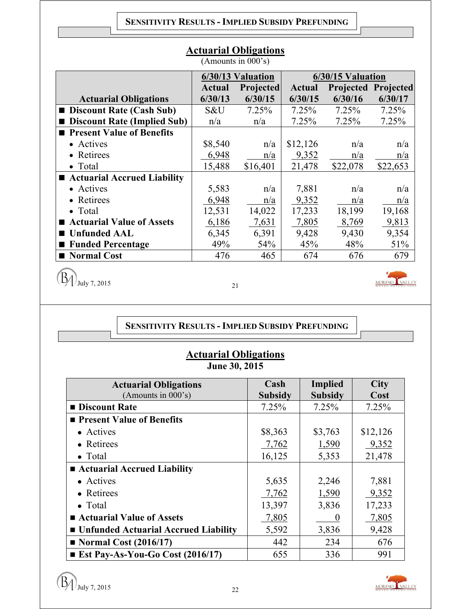| $(1 \text{ min} \circ \text{ min} \circ \text{ min} \circ \text{ min})$ |         |                   |          |                   |                            |  |  |  |  |
|-------------------------------------------------------------------------|---------|-------------------|----------|-------------------|----------------------------|--|--|--|--|
|                                                                         |         | 6/30/13 Valuation |          | 6/30/15 Valuation |                            |  |  |  |  |
|                                                                         | Actual  | <b>Projected</b>  | Actual   |                   | <b>Projected Projected</b> |  |  |  |  |
| <b>Actuarial Obligations</b>                                            | 6/30/13 | 6/30/15           | 6/30/15  | 6/30/16           | 6/30/17                    |  |  |  |  |
| <b>Discount Rate (Cash Sub)</b>                                         | S&U     | 7.25%             | 7.25%    | 7.25%             | 7.25%                      |  |  |  |  |
| ■ Discount Rate (Implied Sub)                                           | n/a     | n/a               | 7.25%    | 7.25%             | 7.25%                      |  |  |  |  |
| ■ Present Value of Benefits                                             |         |                   |          |                   |                            |  |  |  |  |
| • Actives                                                               | \$8,540 | n/a               | \$12,126 | n/a               | n/a                        |  |  |  |  |
| • Retirees                                                              | 6,948   | n/a               | 9,352    | n/a               | n/a                        |  |  |  |  |
| $\bullet$ Total                                                         | 15,488  | \$16,401          | 21,478   | \$22,078          | \$22,653                   |  |  |  |  |
| ■ Actuarial Accrued Liability                                           |         |                   |          |                   |                            |  |  |  |  |
| • Actives                                                               | 5,583   | n/a               | 7,881    | n/a               | n/a                        |  |  |  |  |
| • Retirees                                                              | 6,948   | n/a               | 9,352    | n/a               | n/a                        |  |  |  |  |
| $\bullet$ Total                                                         | 12,531  | 14,022            | 17,233   | 18,199            | 19,168                     |  |  |  |  |
| <b>Actuarial Value of Assets</b>                                        | 6,186   | 7,631             | 7,805    | 8,769             | 9,813                      |  |  |  |  |
| <b>Unfunded AAL</b>                                                     | 6,345   | 6,391             | 9,428    | 9,430             | 9,354                      |  |  |  |  |
| ■ Funded Percentage                                                     | 49%     | 54%               | 45%      | 48%               | 51%                        |  |  |  |  |
| ■ Normal Cost                                                           | 476     | 465               | 674      | 676               | 679                        |  |  |  |  |

## **Actuarial Obligations**

(Amounts in 000's)

 $\left(\overline{B_4}\right)$  July 7, 2015

## **SENSITIVITY RESULTS - IMPLIED SUBSIDY PREFUNDING**

# **Actuarial Obligations June 30, 2015**

| <b>Actuarial Obligations</b>            | Cash           | <b>Implied</b> | <b>City</b> |
|-----------------------------------------|----------------|----------------|-------------|
| (Amounts in 000's)                      | <b>Subsidy</b> | <b>Subsidy</b> | Cost        |
| <b>Discount Rate</b>                    | 7.25%          | 7.25%          | 7.25%       |
| <b>Present Value of Benefits</b>        |                |                |             |
| • Actives                               | \$8,363        | \$3,763        | \$12,126    |
| • Retirees                              | 7,762          | 1,590          | 9,352       |
| $\bullet$ Total                         | 16,125         | 5,353          | 21,478      |
| ■ Actuarial Accrued Liability           |                |                |             |
| • Actives                               | 5,635          | 2,246          | 7,881       |
| • Retirees                              | 7,762          | 1,590          | 9,352       |
| $\bullet$ Total                         | 13,397         | 3,836          | 17,233      |
| ■ Actuarial Value of Assets             | 7,805          | $\theta$       | 7,805       |
| ■ Unfunded Actuarial Accrued Liability  | 5,592          | 3,836          | 9,428       |
| $\blacksquare$ Normal Cost (2016/17)    | 442            | 234            | 676         |
| <b>Ext Pay-As-You-Go Cost (2016/17)</b> | 655            | 336            | 991         |

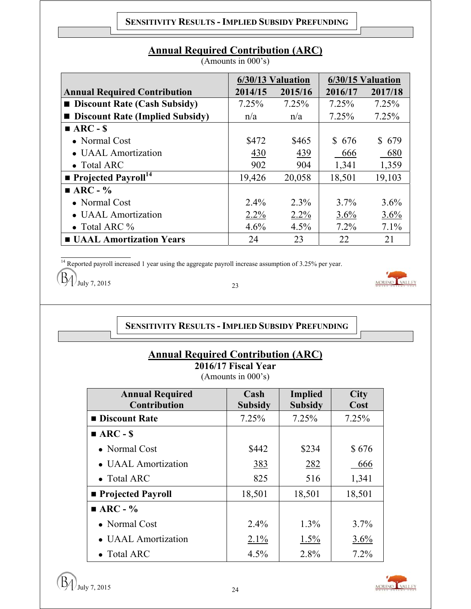|  | <b>Annual Required Contribution (ARC)</b> |  |
|--|-------------------------------------------|--|
|  |                                           |  |

(Amounts in 000's)

|                                        |         | 6/30/13 Valuation | 6/30/15 Valuation |         |
|----------------------------------------|---------|-------------------|-------------------|---------|
| <b>Annual Required Contribution</b>    | 2014/15 | 2015/16           | 2016/17           | 2017/18 |
| <b>Discount Rate (Cash Subsidy)</b>    | 7.25%   | 7.25%             | 7.25%             | 7.25%   |
| <b>Discount Rate (Implied Subsidy)</b> | n/a     | n/a               | 7.25%             | 7.25%   |
| $ARC - S$                              |         |                   |                   |         |
| $\bullet$ Normal Cost                  | \$472   | \$465             | \$676             | \$679   |
| • UAAL Amortization                    | 430     | 439               | 666               | 680     |
| • Total ARC                            | 902     | 904               | 1,341             | 1,359   |
| <b>Projected Payroll</b> <sup>14</sup> | 19,426  | 20,058            | 18,501            | 19,103  |
| $\blacksquare$ ARC - %                 |         |                   |                   |         |
| • Normal Cost                          | $2.4\%$ | $2.3\%$           | $3.7\%$           | $3.6\%$ |
| • UAAL Amortization                    | $2.2\%$ | 2.2%              | 3.6%              | 3.6%    |
| • Total ARC $\%$                       | 4.6%    | 4.5%              | $7.2\%$           | 7.1%    |
| <b>UAAL Amortization Years</b>         | 24      | 23                | 22                | 21      |

 $\frac{14}{14}$  Reported payroll increased 1 year using the aggregate payroll increase assumption of 3.25% per year.

 $J_{\text{July 7, 2015}}$  23

## **SENSITIVITY RESULTS - IMPLIED SUBSIDY PREFUNDING**

# **Annual Required Contribution (ARC)**

**2016/17 Fiscal Year**  (Amounts in 000's)

| <b>Annual Required</b><br><b>Contribution</b> | Cash<br><b>Subsidy</b> | Implied<br><b>Subsidy</b> | <b>City</b><br>Cost |
|-----------------------------------------------|------------------------|---------------------------|---------------------|
| <b>Discount Rate</b>                          | 7.25%                  | 7.25%                     | 7.25%               |
| $\blacksquare$ ARC - \$                       |                        |                           |                     |
| • Normal Cost                                 | \$442                  | \$234                     | \$676               |
| • UAAL Amortization                           | 383                    | 282                       | 666                 |
| • Total ARC                                   | 825                    | 516                       | 1,341               |
| <b>Projected Payroll</b>                      | 18,501                 | 18,501                    | 18,501              |
| $\blacksquare$ ARC - %                        |                        |                           |                     |
| • Normal Cost                                 | 2.4%                   | $1.3\%$                   | $3.7\%$             |
| • UAAL Amortization                           | $2.1\%$                | 1.5%                      | 3.6%                |
| $\bullet$ Total ARC                           | $4.5\%$                | 2.8%                      | 7.2%                |

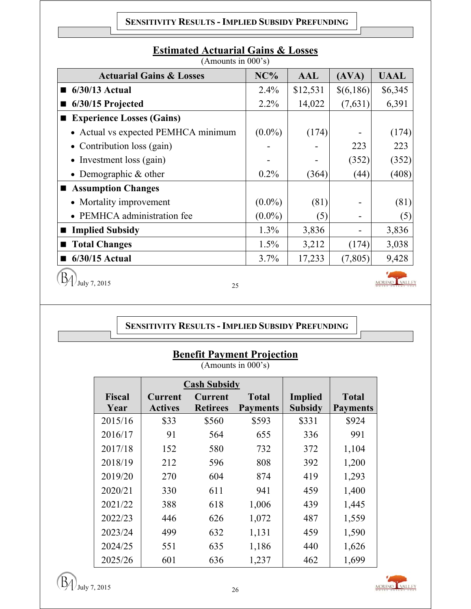#### **SENSITIVITY RESULTS - IMPLIED SUBSIDY PREFUNDING**

| <b>Actuarial Gains &amp; Losses</b> | NC%       | AAL      | (AVA)     | <b>UAAL</b> |
|-------------------------------------|-----------|----------|-----------|-------------|
| 6/30/13 Actual                      | $2.4\%$   | \$12,531 | \$(6,186) | \$6,345     |
| 6/30/15 Projected                   | $2.2\%$   | 14,022   | (7,631)   | 6,391       |
| <b>Experience Losses (Gains)</b>    |           |          |           |             |
| • Actual vs expected PEMHCA minimum | $(0.0\%)$ | (174)    |           | (174)       |
| • Contribution loss $(gain)$        |           |          | 223       | 223         |
| • Investment loss $(gain)$          |           |          | (352)     | (352)       |
| • Demographic $&$ other             | 0.2%      | (364)    | (44)      | (408)       |
| Assumption Changes                  |           |          |           |             |
| • Mortality improvement             | $(0.0\%)$ | (81)     |           | (81)        |
| • PEMHCA administration fee         | $(0.0\%)$ | (5)      |           | (5)         |
| <b>Implied Subsidy</b>              | 1.3%      | 3,836    |           | 3,836       |
| <b>Total Changes</b>                | $1.5\%$   | 3,212    | (174)     | 3,038       |
| 6/30/15 Actual                      | 3.7%      | 17,233   | (7,805)   | 9,428       |
| July 7, 2015<br>ገሩ                  |           |          |           | VALLEY      |

# **Estimated Actuarial Gains & Losses**

(Amounts in 000's)

 $\left(\frac{15}{4}\right)$  July 7, 2015

**SENSITIVITY RESULTS - IMPLIED SUBSIDY PREFUNDING**

# **Benefit Payment Projection**

(Amounts in 000's)

|                       |                                  | <b>Cash Subsidy</b>               |                                 |                                  |                                 |
|-----------------------|----------------------------------|-----------------------------------|---------------------------------|----------------------------------|---------------------------------|
| <b>Fiscal</b><br>Year | <b>Current</b><br><b>Actives</b> | <b>Current</b><br><b>Retirees</b> | <b>Total</b><br><b>Payments</b> | <b>Implied</b><br><b>Subsidy</b> | <b>Total</b><br><b>Payments</b> |
|                       |                                  |                                   |                                 |                                  |                                 |
| 2015/16               | \$33                             | \$560                             | \$593                           | \$331                            | \$924                           |
| 2016/17               | 91                               | 564                               | 655                             | 336                              | 991                             |
| 2017/18               | 152                              | 580                               | 732                             | 372                              | 1,104                           |
| 2018/19               | 212                              | 596                               | 808                             | 392                              | 1,200                           |
| 2019/20               | 270                              | 604                               | 874                             | 419                              | 1,293                           |
| 2020/21               | 330                              | 611                               | 941                             | 459                              | 1,400                           |
| 2021/22               | 388                              | 618                               | 1,006                           | 439                              | 1,445                           |
| 2022/23               | 446                              | 626                               | 1,072                           | 487                              | 1,559                           |
| 2023/24               | 499                              | 632                               | 1,131                           | 459                              | 1,590                           |
| 2024/25               | 551                              | 635                               | 1,186                           | 440                              | 1,626                           |
| 2025/26               | 601                              | 636                               | 1,237                           | 462                              | 1,699                           |

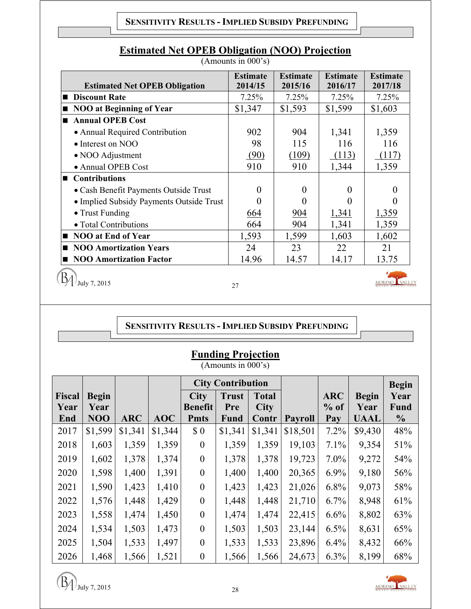## **SENSITIVITY RESULTS - IMPLIED SUBSIDY PREFUNDING**

| <b>Estimated Net OPEB Obligation</b>     | <b>Estimate</b><br>2014/15 | <b>Estimate</b><br>2015/16 | <b>Estimate</b><br>2016/17 | <b>Estimate</b><br>2017/18 |
|------------------------------------------|----------------------------|----------------------------|----------------------------|----------------------------|
| <b>Discount Rate</b>                     | 7.25%                      | 7.25%                      | 7.25%                      | 7.25%                      |
| <b>NOO at Beginning of Year</b>          | \$1,347                    | \$1,593                    | \$1,599                    | \$1,603                    |
| <b>Annual OPEB Cost</b>                  |                            |                            |                            |                            |
| • Annual Required Contribution           | 902                        | 904                        | 1,341                      | 1,359                      |
| • Interest on NOO                        | 98                         | 115                        | 116                        | 116                        |
| • NOO Adjustment                         | (90)                       | (109)                      | (113)                      | (117)                      |
| • Annual OPEB Cost                       | 910                        | 910                        | 1,344                      | 1,359                      |
| <b>Contributions</b>                     |                            |                            |                            |                            |
| • Cash Benefit Payments Outside Trust    | 0                          | $\Omega$                   | $\Omega$                   | 0                          |
| • Implied Subsidy Payments Outside Trust | 0                          |                            |                            |                            |
| • Trust Funding                          | 664                        | 904                        | 1,341                      | 1,359                      |
| • Total Contributions                    | 664                        | 904                        | 1,341                      | 1,359                      |
| <b>NOO at End of Year</b>                | 1,593                      | 1,599                      | 1,603                      | 1,602                      |
| <b>NOO Amortization Years</b>            | 24                         | 23                         | 22                         | 21                         |
| <b>NOO Amortization Factor</b>           | 14.96                      | 14.57                      | 14.17                      | 13.75                      |
| July 7, 2015                             | 27                         |                            |                            |                            |

# **Estimated Net OPEB Obligation (NOO) Projection**

(Amounts in 000's)

## **SENSITIVITY RESULTS - IMPLIED SUBSIDY PREFUNDING**

| <b>Funding Projection</b> |  |
|---------------------------|--|
|                           |  |

(Amounts in 000's)

|               |              |            |         | <b>City Contribution</b> |              |              |                |            |              | <b>Begin</b>   |
|---------------|--------------|------------|---------|--------------------------|--------------|--------------|----------------|------------|--------------|----------------|
| <b>Fiscal</b> | <b>Begin</b> |            |         | <b>City</b>              | <b>Trust</b> | <b>Total</b> |                | <b>ARC</b> | <b>Begin</b> | Year           |
| Year          | Year         |            |         | <b>Benefit</b>           | Pre          | <b>City</b>  |                | $%$ of     | Year         | <b>Fund</b>    |
| End           | NOO          | <b>ARC</b> | AOC     | <b>Pmts</b>              | Fund         | Contr        | <b>Payroll</b> | Pay        | <b>UAAL</b>  | $\frac{6}{10}$ |
| 2017          | \$1,599      | \$1,341    | \$1,344 | \$0                      | \$1,341      | \$1,341      | \$18,501       | $7.2\%$    | \$9,430      | 48%            |
| 2018          | 1,603        | 1,359      | 1,359   | $\overline{0}$           | 1,359        | 1,359        | 19,103         | 7.1%       | 9,354        | 51%            |
| 2019          | 1,602        | 1,378      | 1,374   | $\boldsymbol{0}$         | 1,378        | 1,378        | 19,723         | $7.0\%$    | 9,272        | 54%            |
| 2020          | 1,598        | 1,400      | 1,391   | $\boldsymbol{0}$         | 1,400        | 1,400        | 20,365         | $6.9\%$    | 9,180        | 56%            |
| 2021          | 1,590        | 1,423      | 1,410   | $\mathbf{0}$             | 1,423        | 1,423        | 21,026         | $6.8\%$    | 9,073        | 58%            |
| 2022          | 1,576        | 1,448      | 1,429   | $\overline{0}$           | 1,448        | 1,448        | 21,710         | 6.7%       | 8,948        | 61%            |
| 2023          | 1,558        | 1,474      | 1,450   | $\overline{0}$           | 1,474        | 1,474        | 22,415         | 6.6%       | 8,802        | 63%            |
| 2024          | 1,534        | 1,503      | 1,473   | $\theta$                 | 1,503        | 1,503        | 23,144         | 6.5%       | 8,631        | 65%            |
| 2025          | 1,504        | 1,533      | 1,497   | $\theta$                 | 1,533        | 1,533        | 23,896         | $6.4\%$    | 8,432        | 66%            |
| 2026          | 1,468        | 1,566      | 1,521   | $\boldsymbol{0}$         | 1,566        | 1,566        | 24,673         | 6.3%       | 8,199        | 68%            |

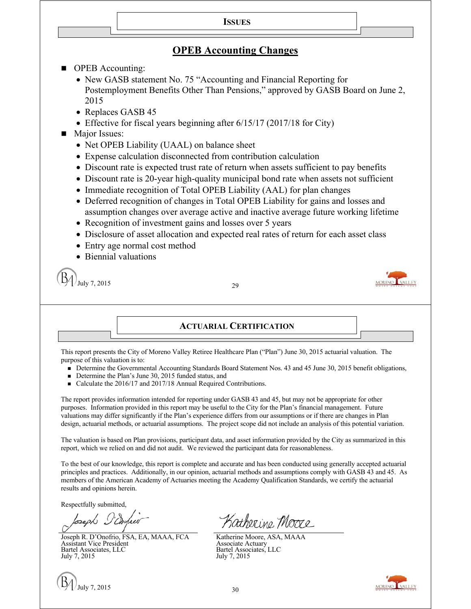#### **ISSUES**

## **OPEB Accounting Changes**

■ OPEB Accounting:

• New GASB statement No. 75 "Accounting and Financial Reporting for Postemployment Benefits Other Than Pensions," approved by GASB Board on June 2, 2015

- Replaces GASB 45
- Effective for fiscal years beginning after  $6/15/17$  (2017/18 for City)
- **Major Issues:** 
	- Net OPEB Liability (UAAL) on balance sheet
	- Expense calculation disconnected from contribution calculation
	- Discount rate is expected trust rate of return when assets sufficient to pay benefits
	- Discount rate is 20-year high-quality municipal bond rate when assets not sufficient
	- Immediate recognition of Total OPEB Liability (AAL) for plan changes
	- Deferred recognition of changes in Total OPEB Liability for gains and losses and assumption changes over average active and inactive average future working lifetime
	- Recognition of investment gains and losses over 5 years
	- Disclosure of asset allocation and expected real rates of return for each asset class
	- Entry age normal cost method
	- Biennial valuations

July 7, 2015 29



#### **ACTUARIAL CERTIFICATION**

This report presents the City of Moreno Valley Retiree Healthcare Plan ("Plan") June 30, 2015 actuarial valuation. The purpose of this valuation is to:

- Determine the Governmental Accounting Standards Board Statement Nos. 43 and 45 June 30, 2015 benefit obligations,
- Determine the Plan's June 30, 2015 funded status, and
- Calculate the 2016/17 and 2017/18 Annual Required Contributions.

The report provides information intended for reporting under GASB 43 and 45, but may not be appropriate for other purposes. Information provided in this report may be useful to the City for the Plan's financial management. Future valuations may differ significantly if the Plan's experience differs from our assumptions or if there are changes in Plan design, actuarial methods, or actuarial assumptions. The project scope did not include an analysis of this potential variation.

The valuation is based on Plan provisions, participant data, and asset information provided by the City as summarized in this report, which we relied on and did not audit. We reviewed the participant data for reasonableness.

To the best of our knowledge, this report is complete and accurate and has been conducted using generally accepted actuarial principles and practices. Additionally, in our opinion, actuarial methods and assumptions comply with GASB 43 and 45. As members of the American Academy of Actuaries meeting the Academy Qualification Standards, we certify the actuarial results and opinions herein.

Respectfully submitted,

Joseph R. D'Onofrio, FSA, EA, MAAA, FCA Assistant Vice President Bartel Associates, LLC July 7, 2015



Katherine Moore

Katherine Moore, ASA, MAAA Associate Actuary Bartel Associates, LLC July 7, 2015

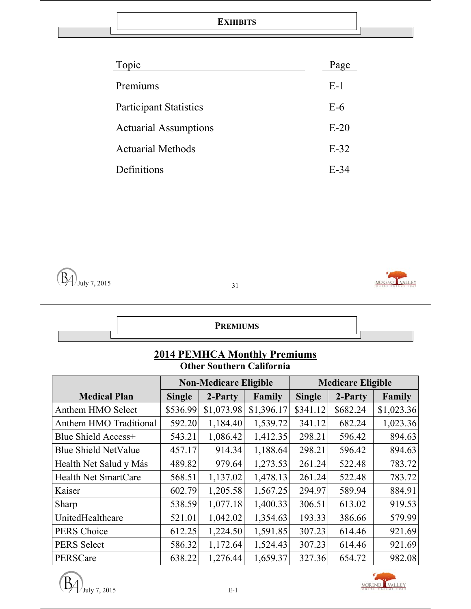#### **EXHIBITS**

| Page   |
|--------|
| $E-1$  |
| $E-6$  |
| $E-20$ |
| $E-32$ |
| $E-34$ |
|        |





## **PREMIUMS**

#### **2014 PEMHCA Monthly Premiums Other Southern California**

|                             |               | <b>Non-Medicare Eligible</b> |            | <b>Medicare Eligible</b> |          |            |  |
|-----------------------------|---------------|------------------------------|------------|--------------------------|----------|------------|--|
| <b>Medical Plan</b>         | <b>Single</b> | 2-Party                      | Family     | <b>Single</b>            | 2-Party  | Family     |  |
| Anthem HMO Select           | \$536.99      | \$1,073.98                   | \$1,396.17 | \$341.12                 | \$682.24 | \$1,023.36 |  |
| Anthem HMO Traditional      | 592.20        | 1,184.40                     | 1,539.72   | 341.12                   | 682.24   | 1,023.36   |  |
| Blue Shield Access+         | 543.21        | 1,086.42                     | 1,412.35   | 298.21                   | 596.42   | 894.63     |  |
| <b>Blue Shield NetValue</b> | 457.17        | 914.34                       | 1,188.64   | 298.21                   | 596.42   | 894.63     |  |
| Health Net Salud y Más      | 489.82        | 979.64                       | 1,273.53   | 261.24                   | 522.48   | 783.72     |  |
| <b>Health Net SmartCare</b> | 568.51        | 1,137.02                     | 1,478.13   | 261.24                   | 522.48   | 783.72     |  |
| Kaiser                      | 602.79        | 1,205.58                     | 1,567.25   | 294.97                   | 589.94   | 884.91     |  |
| Sharp                       | 538.59        | 1,077.18                     | 1,400.33   | 306.51                   | 613.02   | 919.53     |  |
| UnitedHealthcare            | 521.01        | 1,042.02                     | 1,354.63   | 193.33                   | 386.66   | 579.99     |  |
| PERS Choice                 | 612.25        | 1,224.50                     | 1,591.85   | 307.23                   | 614.46   | 921.69     |  |
| <b>PERS Select</b>          | 586.32        | 1,172.64                     | 1,524.43   | 307.23                   | 614.46   | 921.69     |  |
| PERSCare                    | 638.22        | 1,276.44                     | 1,659.37   | 327.36                   | 654.72   | 982.08     |  |



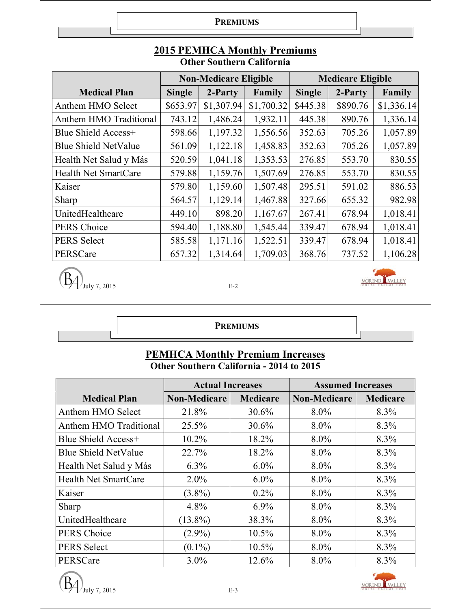**PREMIUMS**

|                               |               | <b>Non-Medicare Eligible</b> |            | <b>Medicare Eligible</b> |          |            |  |
|-------------------------------|---------------|------------------------------|------------|--------------------------|----------|------------|--|
| <b>Medical Plan</b>           | <b>Single</b> | 2-Party                      | Family     | <b>Single</b>            | 2-Party  | Family     |  |
| Anthem HMO Select             | \$653.97      | \$1,307.94                   | \$1,700.32 | \$445.38                 | \$890.76 | \$1,336.14 |  |
| <b>Anthem HMO Traditional</b> | 743.12        | 1,486.24                     | 1,932.11   | 445.38                   | 890.76   | 1,336.14   |  |
| <b>Blue Shield Access+</b>    | 598.66        | 1,197.32                     | 1,556.56   | 352.63                   | 705.26   | 1,057.89   |  |
| <b>Blue Shield NetValue</b>   | 561.09        | 1,122.18                     | 1,458.83   | 352.63                   | 705.26   | 1,057.89   |  |
| Health Net Salud y Más        | 520.59        | 1,041.18                     | 1,353.53   | 276.85                   | 553.70   | 830.55     |  |
| <b>Health Net SmartCare</b>   | 579.88        | 1,159.76                     | 1,507.69   | 276.85                   | 553.70   | 830.55     |  |
| Kaiser                        | 579.80        | 1,159.60                     | 1,507.48   | 295.51                   | 591.02   | 886.53     |  |
| Sharp                         | 564.57        | 1,129.14                     | 1,467.88   | 327.66                   | 655.32   | 982.98     |  |
| UnitedHealthcare              | 449.10        | 898.20                       | 1,167.67   | 267.41                   | 678.94   | 1,018.41   |  |
| <b>PERS Choice</b>            | 594.40        | 1,188.80                     | 1,545.44   | 339.47                   | 678.94   | 1,018.41   |  |
| <b>PERS Select</b>            | 585.58        | 1,171.16                     | 1,522.51   | 339.47                   | 678.94   | 1,018.41   |  |
| PERSCare                      | 657.32        | 1,314.64                     | 1,709.03   | 368.76                   | 737.52   | 1,106.28   |  |

## **2015 PEMHCA Monthly Premiums Other Southern California**

 $\left(\overline{\mathbf{B}}\right)$ <sub>July 7, 2015</sub>



**PREMIUMS**

## **PEMHCA Monthly Premium Increases Other Southern California - 2014 to 2015**

|                             | <b>Actual Increases</b> |                 | <b>Assumed Increases</b> |                 |
|-----------------------------|-------------------------|-----------------|--------------------------|-----------------|
| <b>Medical Plan</b>         | <b>Non-Medicare</b>     | <b>Medicare</b> | <b>Non-Medicare</b>      | <b>Medicare</b> |
| Anthem HMO Select           | 21.8%                   | 30.6%           | $8.0\%$                  | 8.3%            |
| Anthem HMO Traditional      | 25.5%                   | 30.6%           | $8.0\%$                  | 8.3%            |
| Blue Shield Access+         | 10.2%                   | 18.2%           | $8.0\%$                  | 8.3%            |
| <b>Blue Shield NetValue</b> | 22.7%                   | 18.2%           | $8.0\%$                  | 8.3%            |
| Health Net Salud y Más      | 6.3%                    | $6.0\%$         | $8.0\%$                  | 8.3%            |
| <b>Health Net SmartCare</b> | $2.0\%$                 | $6.0\%$         | $8.0\%$                  | 8.3%            |
| Kaiser                      | $(3.8\%)$               | $0.2\%$         | $8.0\%$                  | 8.3%            |
| Sharp                       | 4.8%                    | $6.9\%$         | $8.0\%$                  | 8.3%            |
| UnitedHealthcare            | $(13.8\%)$              | 38.3%           | $8.0\%$                  | 8.3%            |
| <b>PERS</b> Choice          | $(2.9\%)$               | $10.5\%$        | $8.0\%$                  | 8.3%            |
| <b>PERS Select</b>          | $(0.1\%)$               | $10.5\%$        | $8.0\%$                  | 8.3%            |
| PERSCare                    | $3.0\%$                 | 12.6%           | $8.0\%$                  | 8.3%            |



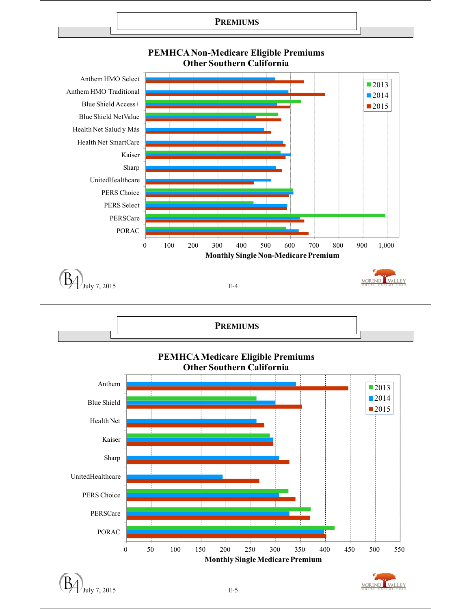

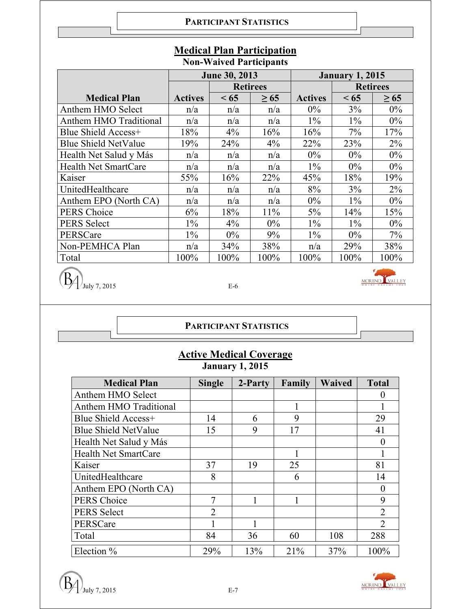|                               | <b>June 30, 2013</b> |                 |           | <b>January 1, 2015</b> |       |                 |
|-------------------------------|----------------------|-----------------|-----------|------------------------|-------|-----------------|
|                               |                      | <b>Retirees</b> |           |                        |       | <b>Retirees</b> |
| <b>Medical Plan</b>           | <b>Actives</b>       | < 65            | $\geq 65$ | <b>Actives</b>         | < 65  | $\geq 65$       |
| Anthem HMO Select             | n/a                  | n/a             | n/a       | $0\%$                  | 3%    | $0\%$           |
| <b>Anthem HMO Traditional</b> | n/a                  | n/a             | n/a       | $1\%$                  | $1\%$ | $0\%$           |
| Blue Shield Access+           | 18%                  | 4%              | 16%       | 16%                    | 7%    | 17%             |
| <b>Blue Shield NetValue</b>   | 19%                  | 24%             | $4\%$     | 22%                    | 23%   | $2\%$           |
| Health Net Salud y Más        | n/a                  | n/a             | n/a       | $0\%$                  | 0%    | $0\%$           |
| <b>Health Net SmartCare</b>   | n/a                  | n/a             | n/a       | $1\%$                  | 0%    | $0\%$           |
| Kaiser                        | 55%                  | 16%             | 22%       | 45%                    | 18%   | 19%             |
| UnitedHealthcare              | n/a                  | n/a             | n/a       | 8%                     | 3%    | 2%              |
| Anthem EPO (North CA)         | n/a                  | n/a             | n/a       | $0\%$                  | $1\%$ | $0\%$           |
| <b>PERS Choice</b>            | 6%                   | 18%             | 11%       | 5%                     | 14%   | 15%             |
| <b>PERS Select</b>            | $1\%$                | $4\%$           | $0\%$     | $1\%$                  | $1\%$ | $0\%$           |
| PERSCare                      | $1\%$                | $0\%$           | 9%        | $1\%$                  | $0\%$ | 7%              |
| Non-PEMHCA Plan               | n/a                  | 34%             | 38%       | n/a                    | 29%   | 38%             |
| Total                         | 100%                 | 100%            | 100%      | 100%                   | 100%  | 100%            |

## **Medical Plan Participation Non-Waived Participants**

 $\left(\overline{\mathbf{B}}\right)$ <sub>July 7, 2015</sub>

**PARTICIPANT STATISTICS**

# **Active Medical Coverage January 1, 2015**

| <b>Medical Plan</b>         | <b>Single</b>  | 2-Party | Family | <b>Waived</b> | <b>Total</b>                |
|-----------------------------|----------------|---------|--------|---------------|-----------------------------|
| Anthem HMO Select           |                |         |        |               |                             |
| Anthem HMO Traditional      |                |         |        |               |                             |
| Blue Shield Access+         | 14             | 6       | 9      |               | 29                          |
| <b>Blue Shield NetValue</b> | 15             | 9       | 17     |               | 41                          |
| Health Net Salud y Más      |                |         |        |               |                             |
| <b>Health Net SmartCare</b> |                |         |        |               |                             |
| Kaiser                      | 37             | 19      | 25     |               | 81                          |
| UnitedHealthcare            | 8              |         | 6      |               | 14                          |
| Anthem EPO (North CA)       |                |         |        |               |                             |
| <b>PERS Choice</b>          | 7              |         |        |               | 9                           |
| <b>PERS Select</b>          | $\overline{2}$ |         |        |               | $\overline{2}$              |
| PERSCare                    |                |         |        |               | $\mathcal{D}_{\mathcal{L}}$ |
| Total                       | 84             | 36      | 60     | 108           | 288                         |
| Election $%$                | 29%            | 13%     | 21%    | 37%           | 100%                        |



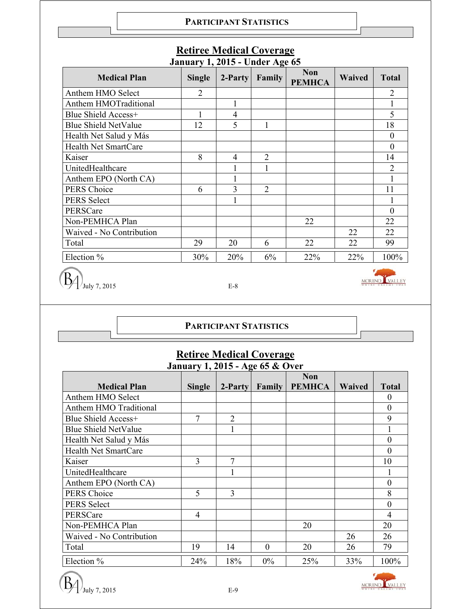#### **PARTICIPANT STATISTICS**

| <b>Medical Plan</b>         | <b>Single</b>  | 2-Party | Family         | <b>Non</b><br><b>PEMHCA</b> | Waived | <b>Total</b>   |
|-----------------------------|----------------|---------|----------------|-----------------------------|--------|----------------|
| Anthem HMO Select           | $\overline{2}$ |         |                |                             |        | $\overline{2}$ |
| Anthem HMOTraditional       |                |         |                |                             |        |                |
| Blue Shield Access+         |                | 4       |                |                             |        | 5              |
| <b>Blue Shield NetValue</b> | 12             | 5       |                |                             |        | 18             |
| Health Net Salud y Más      |                |         |                |                             |        | $\Omega$       |
| <b>Health Net SmartCare</b> |                |         |                |                             |        | $\Omega$       |
| Kaiser                      | 8              | 4       | $\overline{2}$ |                             |        | 14             |
| UnitedHealthcare            |                |         |                |                             |        | $\overline{2}$ |
| Anthem EPO (North CA)       |                |         |                |                             |        |                |
| PERS Choice                 | 6              | 3       | $\overline{2}$ |                             |        | 11             |
| PERS Select                 |                |         |                |                             |        |                |
| PERSCare                    |                |         |                |                             |        | $\Omega$       |
| Non-PEMHCA Plan             |                |         |                | 22                          |        | 22             |
| Waived - No Contribution    |                |         |                |                             | 22     | 22             |
| Total                       | 29             | 20      | 6              | 22                          | 22     | 99             |
| Election %                  | 30%            | 20%     | 6%             | 22%                         | 22%    | 100%           |

## **Retiree Medical Coverage January 1, 2015 - Under Age 65**

 $\left(\overline{\mathbf{B}}\right)$  July 7, 2015

MORENO VALLEY

## **PARTICIPANT STATISTICS**

# **Retiree Medical Coverage**

|                             |                | <b>January 1, 2015 - Age 65 &amp; Over</b> |          |               |        |                  |
|-----------------------------|----------------|--------------------------------------------|----------|---------------|--------|------------------|
|                             |                |                                            |          | <b>Non</b>    |        |                  |
| <b>Medical Plan</b>         | <b>Single</b>  | $2-Partv$                                  | Family   | <b>PEMHCA</b> | Waived | <b>Total</b>     |
| Anthem HMO Select           |                |                                            |          |               |        | $\theta$         |
| Anthem HMO Traditional      |                |                                            |          |               |        | $\boldsymbol{0}$ |
| Blue Shield Access+         | 7              | $\overline{2}$                             |          |               |        | 9                |
| <b>Blue Shield NetValue</b> |                |                                            |          |               |        |                  |
| Health Net Salud y Más      |                |                                            |          |               |        | $\theta$         |
| <b>Health Net SmartCare</b> |                |                                            |          |               |        | $\theta$         |
| Kaiser                      | 3              | $\overline{7}$                             |          |               |        | 10               |
| UnitedHealthcare            |                |                                            |          |               |        |                  |
| Anthem EPO (North CA)       |                |                                            |          |               |        | $\overline{0}$   |
| <b>PERS</b> Choice          | 5              | 3                                          |          |               |        | 8                |
| <b>PERS Select</b>          |                |                                            |          |               |        | $\overline{0}$   |
| PERSCare                    | $\overline{4}$ |                                            |          |               |        | $\overline{4}$   |
| Non-PEMHCA Plan             |                |                                            |          | 20            |        | 20               |
| Waived - No Contribution    |                |                                            |          |               | 26     | 26               |
| Total                       | 19             | 14                                         | $\theta$ | 20            | 26     | 79               |
| Election %                  | 24%            | 18%                                        | 0%       | 25%           | 33%    | 100%             |



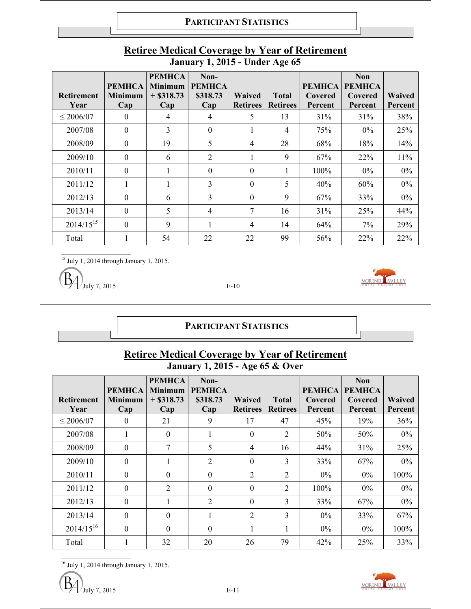| <b>Retirement</b><br>Year | <b>PEMHCA</b><br><b>Minimum</b><br>Cap | <b>PEMHCA</b><br><b>Minimum</b><br>$+$ \$318.73<br>Cap | Non-<br>PEMHCA<br>\$318.73<br>Cap | Waived<br><b>Retirees</b> | <b>Total</b><br><b>Retirees</b> | <b>PEMHCA</b><br>Covered<br>Percent | <b>Non</b><br><b>PEMHCA</b><br>Covered<br>Percent | <b>Waived</b><br>Percent |
|---------------------------|----------------------------------------|--------------------------------------------------------|-----------------------------------|---------------------------|---------------------------------|-------------------------------------|---------------------------------------------------|--------------------------|
| $\leq 2006/07$            | $\bf{0}$                               | 4                                                      | 4                                 | 5                         | 13                              | 31%                                 | 31%                                               | 38%                      |
| 2007/08                   | $\overline{0}$                         | 3                                                      | $\Omega$                          | 1                         | $\overline{4}$                  | 75%                                 | $0\%$                                             | 25%                      |
| 2008/09                   | $\overline{0}$                         | 19                                                     | 5                                 | $\overline{4}$            | 28                              | 68%                                 | 18%                                               | 14%                      |
| 2009/10                   | $\theta$                               | 6                                                      | $\overline{2}$                    | 1                         | 9                               | 67%                                 | 22%                                               | 11%                      |
| 2010/11                   | $\theta$                               |                                                        | $\theta$                          | $\Omega$                  | 1                               | 100%                                | $0\%$                                             | $0\%$                    |
| 2011/12                   |                                        |                                                        | 3                                 | $\Omega$                  | 5                               | 40%                                 | 60%                                               | 0%                       |
| 2012/13                   | $\theta$                               | 6                                                      | 3                                 | $\mathbf{0}$              | 9                               | 67%                                 | 33%                                               | 0%                       |
| 2013/14                   | $\theta$                               | 5                                                      | $\overline{4}$                    | 7                         | 16                              | 31%                                 | 25%                                               | 44%                      |
| $2014/15^{15}$            | $\theta$                               | 9                                                      |                                   | $\overline{4}$            | 14                              | 64%                                 | $7\%$                                             | 29%                      |
| Total                     |                                        | 54                                                     | 22                                | 22                        | 99                              | 56%                                 | 22%                                               | 22%                      |

## **Retiree Medical Coverage by Year of Retirement January 1, 2015 - Under Age 65**

 $\frac{15 \text{ July 1, 2014 through January 1, 2015.}}{$ 

 $J_{\text{uly}}$  7, 2015 E-10



**PARTICIPANT STATISTICS**

# **Retiree Medical Coverage by Year of Retirement January 1, 2015 - Age 65 & Over**

| <b>Retirement</b><br>Year | <b>PEMHCA</b><br>Minimum<br>Cap | <b>PEMHCA</b><br><b>Minimum</b><br>$+$ \$318.73<br>Cap | Non-<br><b>PEMHCA</b><br>\$318.73<br>Cap | <b>Waived</b><br><b>Retirees</b> | <b>Total</b><br><b>Retirees</b> | <b>PEMHCA</b><br>Covered<br>Percent | <b>Non</b><br><b>PEMHCA</b><br>Covered<br>Percent | Waived<br>Percent |
|---------------------------|---------------------------------|--------------------------------------------------------|------------------------------------------|----------------------------------|---------------------------------|-------------------------------------|---------------------------------------------------|-------------------|
| $\leq 2006/07$            | $\theta$                        | 21                                                     | 9                                        | 17                               | 47                              | 45%                                 | 19%                                               | 36%               |
| 2007/08                   | т.                              | $\theta$                                               | 1                                        | $\theta$                         | $\overline{2}$                  | 50%                                 | 50%                                               | $0\%$             |
| 2008/09                   | $\Omega$                        | 7                                                      | 5                                        | $\overline{4}$                   | 16                              | 44%                                 | 31%                                               | 25%               |
| 2009/10                   | $\theta$                        |                                                        | 2                                        | $\theta$                         | 3                               | 33%                                 | 67%                                               | $0\%$             |
| 2010/11                   | $\theta$                        | $\theta$                                               | $\boldsymbol{0}$                         | $\overline{2}$                   | $\overline{2}$                  | $0\%$                               | $0\%$                                             | 100%              |
| 2011/12                   | $\Omega$                        | $\overline{2}$                                         | $\theta$                                 | $\Omega$                         | $\overline{2}$                  | $100\%$                             | $0\%$                                             | $0\%$             |
| 2012/13                   | $\theta$                        | $\mathbf{1}$                                           | $\overline{2}$                           | $\Omega$                         | 3                               | 33%                                 | 67%                                               | $0\%$             |
| 2013/14                   | $\Omega$                        | $\Omega$                                               | 1                                        | $\overline{2}$                   | 3                               | $0\%$                               | 33%                                               | 67%               |
| $2014/15^{16}$            | $\Omega$                        | $\Omega$                                               | $\theta$                                 |                                  |                                 | $0\%$                               | $0\%$                                             | 100%              |
| Total                     |                                 | 32                                                     | 20                                       | 26                               | 79                              | 42%                                 | 25%                                               | 33%               |

 $\frac{16}{16}$  July 1, 2014 through January 1, 2015.



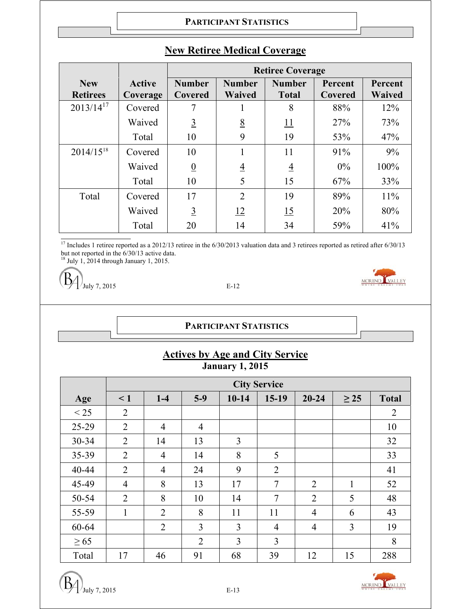#### **PARTICIPANT STATISTICS**

|                 |               | <b>Retiree Coverage</b> |                |                |         |               |
|-----------------|---------------|-------------------------|----------------|----------------|---------|---------------|
| <b>New</b>      | <b>Active</b> | <b>Number</b>           | <b>Number</b>  | <b>Number</b>  | Percent | Percent       |
| <b>Retirees</b> | Coverage      | Covered                 | <b>Waived</b>  | <b>Total</b>   | Covered | <b>Waived</b> |
| $2013/14^{17}$  | Covered       |                         |                | 8              | 88%     | 12%           |
|                 | Waived        | $\overline{3}$          | 8              | <u>11</u>      | 27%     | 73%           |
|                 | Total         | 10                      | 9              | 19             | 53%     | 47%           |
| $2014/15^{18}$  | Covered       | 10                      |                | 11             | 91%     | 9%            |
|                 | Waived        | $\underline{0}$         | $\overline{4}$ | $\overline{4}$ | $0\%$   | 100%          |
|                 | Total         | 10                      | 5              | 15             | 67%     | 33%           |
| Total           | Covered       | 17                      | $\overline{2}$ | 19             | 89%     | 11%           |
|                 | Waived        | $\overline{3}$          | 12             | 15             | 20%     | 80%           |
|                 | Total         | 20                      | 14             | 34             | 59%     | 41%           |

# **New Retiree Medical Coverage**

 $\frac{17}{17}$  Includes 1 retiree reported as a 2012/13 retiree in the 6/30/2013 valuation data and 3 retirees reported as retired after 6/30/13 but not reported in the 6/30/13 active data.

 $18$  July 1, 2014 through January 1, 2015.

 $J_{\text{uly}}$  7, 2015 E-12



# **PARTICIPANT STATISTICS**

|                        |  | <b>Actives by Age and City Service</b> |
|------------------------|--|----------------------------------------|
| <b>January 1, 2015</b> |  |                                        |

|           |                | <b>City Service</b> |                |           |                |                |              |                |
|-----------|----------------|---------------------|----------------|-----------|----------------|----------------|--------------|----------------|
| Age       | $\leq 1$       | $1-4$               | $5-9$          | $10 - 14$ | $15-19$        | $20 - 24$      | $\geq$ 25    | <b>Total</b>   |
| < 25      | $\overline{2}$ |                     |                |           |                |                |              | $\overline{2}$ |
| 25-29     | $\overline{2}$ | $\overline{4}$      | $\overline{4}$ |           |                |                |              | 10             |
| $30 - 34$ | $\overline{2}$ | 14                  | 13             | 3         |                |                |              | 32             |
| 35-39     | $\overline{2}$ | $\overline{4}$      | 14             | 8         | 5              |                |              | 33             |
| 40-44     | $\overline{2}$ | $\overline{4}$      | 24             | 9         | $\overline{2}$ |                |              | 41             |
| 45-49     | $\overline{4}$ | 8                   | 13             | 17        | 7              | $\overline{2}$ | $\mathbf{1}$ | 52             |
| 50-54     | $\overline{2}$ | 8                   | 10             | 14        | $\tau$         | $\overline{2}$ | 5            | 48             |
| 55-59     | 1              | $\overline{2}$      | 8              | 11        | 11             | $\overline{4}$ | 6            | 43             |
| 60-64     |                | $\overline{2}$      | 3              | 3         | $\overline{4}$ | $\overline{4}$ | 3            | 19             |
| $\geq 65$ |                |                     | $\overline{2}$ | 3         | 3              |                |              | 8              |
| Total     | 17             | 46                  | 91             | 68        | 39             | 12             | 15           | 288            |



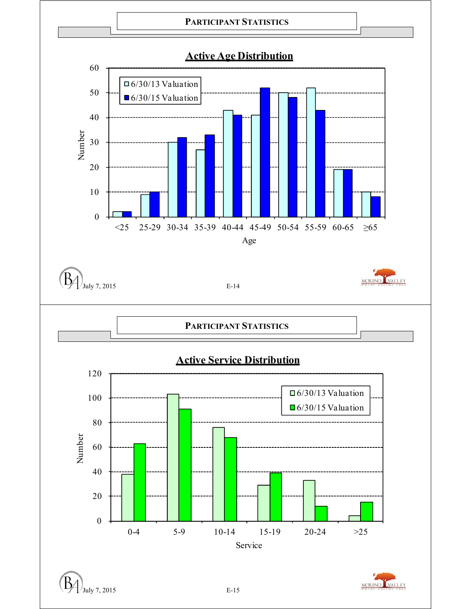

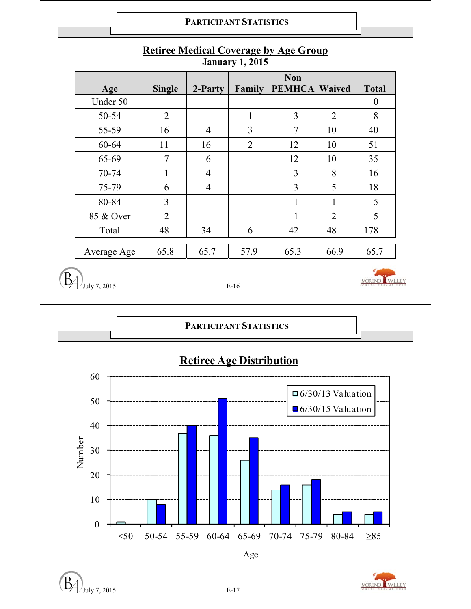

## **Retiree Medical Coverage by Age Group January 1, 2015**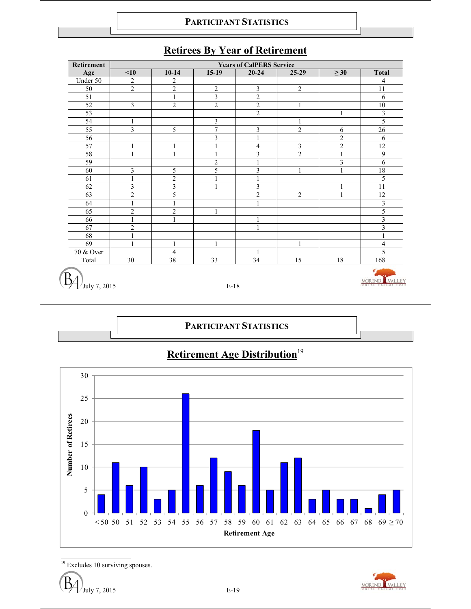

### **Retirees By Year of Retirement**



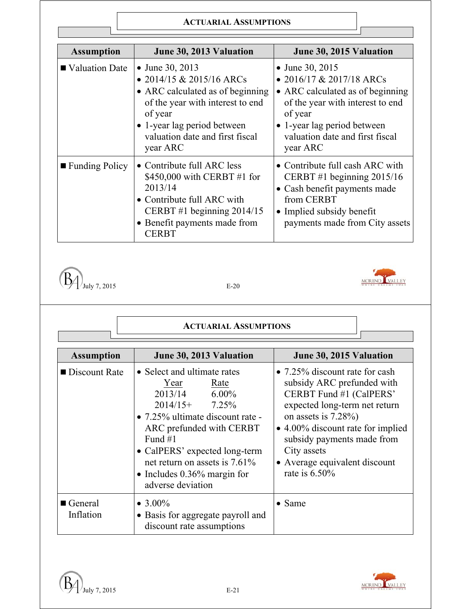| <b>Assumption</b> | June 30, 2013 Valuation                                                                                                                                                                                      | June 30, 2015 Valuation                                                                                                                                                                                      |
|-------------------|--------------------------------------------------------------------------------------------------------------------------------------------------------------------------------------------------------------|--------------------------------------------------------------------------------------------------------------------------------------------------------------------------------------------------------------|
| ■ Valuation Date  | • June 30, 2013<br>• 2014/15 & 2015/16 ARCs<br>• ARC calculated as of beginning<br>of the year with interest to end<br>of year<br>• 1-year lag period between<br>valuation date and first fiscal<br>year ARC | • June 30, 2015<br>• 2016/17 & 2017/18 ARCs<br>• ARC calculated as of beginning<br>of the year with interest to end<br>of year<br>• 1-year lag period between<br>valuation date and first fiscal<br>year ARC |
| ■ Funding Policy  | • Contribute full ARC less<br>\$450,000 with CERBT #1 for<br>2013/14<br>• Contribute full ARC with<br>CERBT #1 beginning $2014/15$<br>• Benefit payments made from<br><b>CERBT</b>                           | • Contribute full cash ARC with<br>CERBT#1 beginning $2015/16$<br>• Cash benefit payments made<br>from CERBT<br>• Implied subsidy benefit<br>payments made from City assets                                  |



# MORENO VALLEY

| <b>Assumption</b>                   | June 30, 2013 Valuation                                                                                                                                                                                                                                                                                   | June 30, 2015 Valuation                                                                                                                                                                                                                                                                    |
|-------------------------------------|-----------------------------------------------------------------------------------------------------------------------------------------------------------------------------------------------------------------------------------------------------------------------------------------------------------|--------------------------------------------------------------------------------------------------------------------------------------------------------------------------------------------------------------------------------------------------------------------------------------------|
| $\blacksquare$ Discount Rate        | • Select and ultimate rates<br>Year<br><u>Rate</u><br>2013/14 6.00%<br>$2014/15+ 7.25\%$<br>$\bullet$ 7.25% ultimate discount rate -<br>ARC prefunded with CERBT<br>Fund $#1$<br>• CalPERS' expected long-term<br>net return on assets is $7.61\%$<br>• Includes $0.36\%$ margin for<br>adverse deviation | • 7.25% discount rate for cash<br>subsidy ARC prefunded with<br>CERBT Fund #1 (CalPERS'<br>expected long-term net return<br>on assets is $7.28\%$ )<br>• 4.00% discount rate for implied<br>subsidy payments made from<br>City assets<br>• Average equivalent discount<br>rate is $6.50\%$ |
| $\blacksquare$ General<br>Inflation | • $3.00\%$<br>• Basis for aggregate payroll and<br>discount rate assumptions                                                                                                                                                                                                                              | $\bullet$ Same                                                                                                                                                                                                                                                                             |

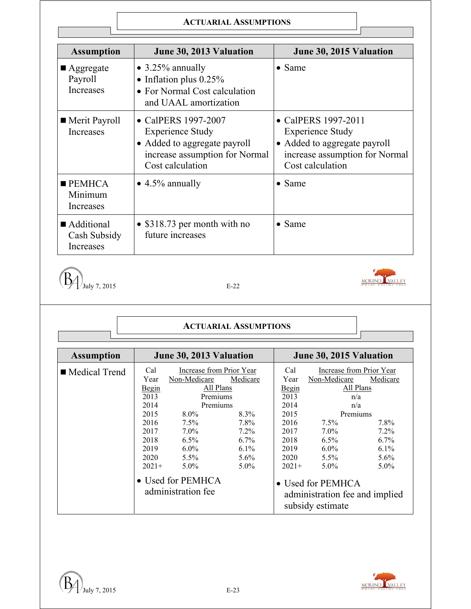| <b>Assumption</b>                                | June 30, 2013 Valuation                                                                                                              | June 30, 2015 Valuation                                                                                                              |
|--------------------------------------------------|--------------------------------------------------------------------------------------------------------------------------------------|--------------------------------------------------------------------------------------------------------------------------------------|
| $\blacksquare$ Aggregate<br>Payroll<br>Increases | $\bullet$ 3.25% annually<br>• Inflation plus $0.25\%$<br>• For Normal Cost calculation<br>and UAAL amortization                      | $\bullet$ Same                                                                                                                       |
| ■ Merit Payroll<br>Increases                     | • CalPERS 1997-2007<br><b>Experience Study</b><br>• Added to aggregate payroll<br>increase assumption for Normal<br>Cost calculation | • CalPERS 1997-2011<br><b>Experience Study</b><br>• Added to aggregate payroll<br>increase assumption for Normal<br>Cost calculation |
| $\blacksquare$ PEMHCA<br>Minimum<br>Increases    | $\bullet$ 4.5% annually                                                                                                              | $\bullet$ Same                                                                                                                       |
| Additional<br>Cash Subsidy<br>Increases          | • $$318.73$ per month with no<br>future increases                                                                                    | $\bullet$ Same                                                                                                                       |



#### **ACTUARIAL ASSUMPTIONS**

| <b>Assumption</b> |                                                                                                 | June 30, 2013 Valuation                                                                                                                                                         |                                                                                 |                                                                                                 | June 30, 2015 Valuation                                                                                                                                                |                                                                         |
|-------------------|-------------------------------------------------------------------------------------------------|---------------------------------------------------------------------------------------------------------------------------------------------------------------------------------|---------------------------------------------------------------------------------|-------------------------------------------------------------------------------------------------|------------------------------------------------------------------------------------------------------------------------------------------------------------------------|-------------------------------------------------------------------------|
| ■ Medical Trend   | Cal<br>Year<br>Begin<br>2013<br>2014<br>2015<br>2016<br>2017<br>2018<br>2019<br>2020<br>$2021+$ | Increase from Prior Year<br>Non-Medicare<br>All Plans<br>Premiums<br>Premiums<br>$8.0\%$<br>$7.5\%$<br>$7.0\%$<br>$6.5\%$<br>$6.0\%$<br>$5.5\%$<br>$5.0\%$<br>• Used for PEMHCA | Medicare<br>8.3%<br>7.8%<br>$7.2\%$<br>$6.7\%$<br>$6.1\%$<br>$5.6\%$<br>$5.0\%$ | Cal<br>Year<br>Begin<br>2013<br>2014<br>2015<br>2016<br>2017<br>2018<br>2019<br>2020<br>$2021+$ | Increase from Prior Year<br>Non-Medicare<br>All Plans<br>n/a<br>n/a<br>Premiums<br>$7.5\%$<br>$7.0\%$<br>$6.5\%$<br>$6.0\%$<br>$5.5\%$<br>$5.0\%$<br>• Used for PEMHCA | Medicare<br>7.8%<br>$7.2\%$<br>$6.7\%$<br>$6.1\%$<br>$5.6\%$<br>$5.0\%$ |
|                   |                                                                                                 | administration fee                                                                                                                                                              |                                                                                 |                                                                                                 | administration fee and implied<br>subsidy estimate                                                                                                                     |                                                                         |

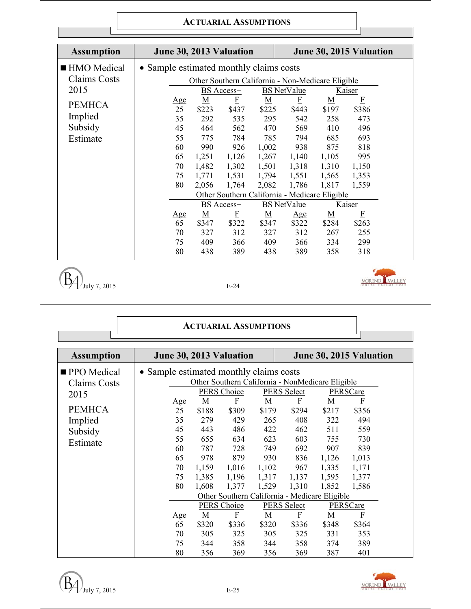| <b>Assumption</b>       | June 30, 2013 Valuation                 |                          |                                                                 |                          |                         |                          | June 30, 2015 Valuation |  |
|-------------------------|-----------------------------------------|--------------------------|-----------------------------------------------------------------|--------------------------|-------------------------|--------------------------|-------------------------|--|
| ■ HMO Medical           | • Sample estimated monthly claims costs |                          |                                                                 |                          |                         |                          |                         |  |
| <b>Claims Costs</b>     |                                         |                          | Other Southern California - Non-Medicare Eligible               |                          |                         |                          |                         |  |
| 2015                    |                                         |                          | BS Access+                                                      |                          | <b>BS</b> NetValue      |                          | Kaiser                  |  |
|                         | <u>Age</u>                              | $\underline{\mathbf{M}}$ | $\overline{F}$                                                  | $\underline{\mathbf{M}}$ | E                       | <u>M</u>                 | $\mathbf{F}$            |  |
| <b>PEMHCA</b>           | 25                                      | \$223                    | \$437                                                           | \$225                    | \$443                   | \$197                    | \$386                   |  |
| Implied                 | 35                                      | 292                      | 535                                                             | 295                      | 542                     | 258                      | 473                     |  |
| Subsidy                 | 45                                      | 464                      | 562                                                             | 470                      | 569                     | 410                      | 496                     |  |
| Estimate                | 55                                      | 775                      | 784                                                             | 785                      | 794                     | 685                      | 693                     |  |
|                         | 60                                      | 990                      | 926                                                             | 1,002                    | 938                     | 875                      | 818                     |  |
|                         | 65                                      | 1,251                    | 1,126                                                           | 1,267                    | 1,140                   | 1,105                    | 995                     |  |
|                         | 70                                      | 1,482                    | 1,302                                                           | 1,501                    | 1,318                   | 1,310                    | 1,150                   |  |
|                         | 75                                      | 1,771                    | 1,531                                                           | 1,794                    | 1,551                   | 1,565                    | 1,353                   |  |
|                         | 80                                      | 2,056                    | 1,764                                                           | 2,082                    | 1,786                   | 1,817                    | 1,559                   |  |
|                         |                                         |                          | Other Southern California - Medicare Eligible                   |                          |                         |                          |                         |  |
|                         |                                         |                          | <b>BS</b> Access+                                               |                          | <b>BS</b> NetValue      |                          | Kaiser                  |  |
|                         | <u>Age</u><br>65                        | $\underline{M}$<br>\$347 | E<br>\$322                                                      | $\underline{M}$<br>\$347 | Age<br>\$322            | <u>M</u><br>\$284        | F<br>\$263              |  |
|                         | 70                                      | 327                      | 312                                                             | 327                      | 312                     | 267                      | 255                     |  |
|                         | 75                                      | 409                      | 366                                                             | 409                      | 366                     | 334                      | 299                     |  |
|                         | 80                                      | 438                      | 389                                                             | 438                      | 389                     | 358                      | 318                     |  |
| July 7, 2015            |                                         |                          | $E-24$                                                          |                          |                         |                          |                         |  |
|                         |                                         |                          |                                                                 |                          |                         |                          |                         |  |
|                         |                                         |                          | <b>ACTUARIAL ASSUMPTIONS</b>                                    |                          |                         |                          |                         |  |
| <b>Assumption</b>       | June 30, 2013 Valuation                 |                          |                                                                 |                          |                         |                          | June 30, 2015 Valuation |  |
|                         |                                         |                          |                                                                 |                          |                         |                          |                         |  |
|                         | • Sample estimated monthly claims costs |                          |                                                                 |                          |                         |                          |                         |  |
| <b>Claims Costs</b>     |                                         |                          | Other Southern California - NonMedicare Eligible<br>PERS Choice |                          | PERS Select             |                          | PERSCare                |  |
| 2015                    | <u>Age</u>                              | $\underline{M}$          | $E_{\parallel}$                                                 | $\underline{\mathbf{M}}$ | $\mathbf{F}$            | M                        | $\mathbf{F}$            |  |
| <b>PEMHCA</b>           | 25                                      | \$188                    | \$309                                                           | \$179                    | \$294                   | \$217                    | \$356                   |  |
| Implied                 | 35                                      | 279                      | 429                                                             | 265                      | 408                     | 322                      | 494                     |  |
| Subsidy                 | 45                                      | 443                      | 486                                                             | 422                      | 462                     | 511                      | 559                     |  |
| PPO Medical<br>Estimate | 55                                      | 655                      | 634                                                             | 623                      | 603                     | 755                      | 730                     |  |
|                         | 60                                      | 787                      | 728                                                             | 749                      | 692                     | 907                      | 839                     |  |
|                         | 65                                      | 978                      | 879                                                             | 930                      | 836                     | 1,126                    | 1,013                   |  |
|                         | 70                                      | 1,159                    | 1,016                                                           | 1,102                    | 967                     | 1,335                    | 1,171                   |  |
|                         | 75                                      | 1,385                    | 1,196                                                           | 1,317                    | 1,137                   | 1,595                    | 1,377                   |  |
|                         | 80                                      | 1,608                    | 1,377                                                           | 1,529                    | 1,310                   | 1,852                    | 1,586                   |  |
|                         |                                         |                          | Other Southern California - Medicare Eligible                   |                          |                         |                          |                         |  |
|                         |                                         |                          | <b>PERS Choice</b>                                              |                          | <b>PERS Select</b>      |                          | PERSCare                |  |
|                         | <u>Age</u>                              | $\underline{M}$          | $\mathbf{F}$                                                    | $\underline{\mathbf{M}}$ | $\overline{\mathrm{E}}$ | $\underline{\mathbf{M}}$ | $\mathbf{F}$            |  |
|                         | 65<br>70                                | \$320<br>305             | \$336<br>325                                                    | \$320<br>305             | \$336<br>325            | \$348<br>331             | \$364<br>353            |  |



80 356 369 356 369 387 401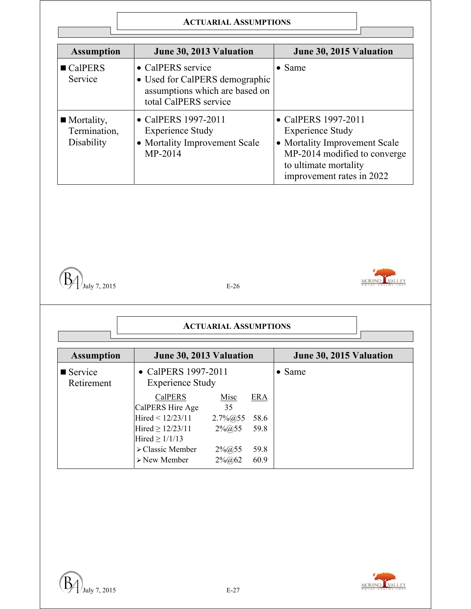| <b>Assumption</b>                                       | June 30, 2013 Valuation                                                                                        | June 30, 2015 Valuation                                                                                                                                               |
|---------------------------------------------------------|----------------------------------------------------------------------------------------------------------------|-----------------------------------------------------------------------------------------------------------------------------------------------------------------------|
| $\blacksquare$ CalPERS<br>Service                       | • CalPERS service<br>• Used for CalPERS demographic<br>assumptions which are based on<br>total CalPERS service | $\bullet$ Same                                                                                                                                                        |
| $\blacksquare$ Mortality,<br>Termination,<br>Disability | • CalPERS 1997-2011<br><b>Experience Study</b><br>• Mortality Improvement Scale<br>MP-2014                     | • CalPERS 1997-2011<br><b>Experience Study</b><br>• Mortality Improvement Scale<br>MP-2014 modified to converge<br>to ultimate mortality<br>improvement rates in 2022 |





| <b>Assumption</b>                    | June 30, 2013 Valuation                        |                | June 30, 2015 Valuation |                |
|--------------------------------------|------------------------------------------------|----------------|-------------------------|----------------|
| $\blacksquare$ Service<br>Retirement | • CalPERS 1997-2011<br><b>Experience Study</b> |                |                         | $\bullet$ Same |
|                                      | <b>CalPERS</b>                                 | Misc           | <b>ERA</b>              |                |
|                                      | CalPERS Hire Age                               | 35             |                         |                |
|                                      | Hired < $12/23/11$                             | $2.7\%$ (a) 55 | 58.6                    |                |
|                                      | Hired $\geq$ 12/23/11                          | $2\% @ 55$     | 59.8                    |                |
|                                      | Hired $\geq 1/1/13$                            |                |                         |                |
|                                      | $\triangleright$ Classic Member                | $2\% @ 55$     | 59.8                    |                |
|                                      | $\triangleright$ New Member                    | $2\%$ (a) 62   | 60.9                    |                |

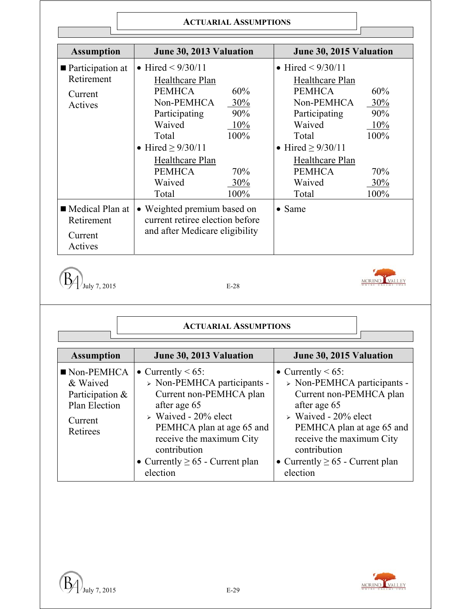| <b>Assumption</b>                                      | June 30, 2013 Valuation                                                                                                                                                           |                                         | June 30, 2015 Valuation                                                                                                                                                    |                                         |
|--------------------------------------------------------|-----------------------------------------------------------------------------------------------------------------------------------------------------------------------------------|-----------------------------------------|----------------------------------------------------------------------------------------------------------------------------------------------------------------------------|-----------------------------------------|
| ■ Participation at<br>Retirement<br>Current<br>Actives | • Hired $\leq 9/30/11$<br>Healthcare Plan<br><b>PEMHCA</b><br>Non-PEMHCA<br>Participating<br>Waived<br>Total<br>• Hired $\geq$ 9/30/11<br><b>Healthcare Plan</b><br><b>PEMHCA</b> | 60%<br>30%<br>90%<br>10%<br>100%<br>70% | • Hired $\leq 9/30/11$<br>Healthcare Plan<br><b>PEMHCA</b><br>Non-PEMHCA<br>Participating<br>Waived<br>Total<br>• Hired $\geq$ 9/30/11<br>Healthcare Plan<br><b>PEMHCA</b> | 60%<br>30%<br>90%<br>10%<br>100%<br>70% |
|                                                        | Waived<br>Total                                                                                                                                                                   | 30%<br>100%                             | Waived<br>Total                                                                                                                                                            | 30%<br>100%                             |
| Medical Plan at<br>Retirement<br>Current<br>Actives    | • Weighted premium based on<br>current retiree election before<br>and after Medicare eligibility                                                                                  |                                         | $\bullet$ Same                                                                                                                                                             |                                         |

 $\left(\overline{\mathbf{B}}\right)$  July 7, 2015



| <b>Assumption</b>                                                                                | June 30, 2013 Valuation                                                                                                                                                                                                                                              | June 30, 2015 Valuation                                                                                                                                                                                                                                            |
|--------------------------------------------------------------------------------------------------|----------------------------------------------------------------------------------------------------------------------------------------------------------------------------------------------------------------------------------------------------------------------|--------------------------------------------------------------------------------------------------------------------------------------------------------------------------------------------------------------------------------------------------------------------|
| $\blacksquare$ Non-PEMHCA<br>& Waived<br>Participation &<br>Plan Election<br>Current<br>Retirees | • Currently $< 65$ :<br>$>$ Non-PEMHCA participants -<br>Current non-PEMHCA plan<br>after age 65<br>$\triangleright$ Waived - 20% elect<br>PEMHCA plan at age 65 and<br>receive the maximum City<br>contribution<br>• Currently $\geq 65$ - Current plan<br>election | • Currently $< 65$ :<br>> Non-PEMHCA participants -<br>Current non-PEMHCA plan<br>after age 65<br>$\triangleright$ Waived - 20% elect<br>PEMHCA plan at age 65 and<br>receive the maximum City<br>contribution<br>• Currently $\geq 65$ - Current plan<br>election |

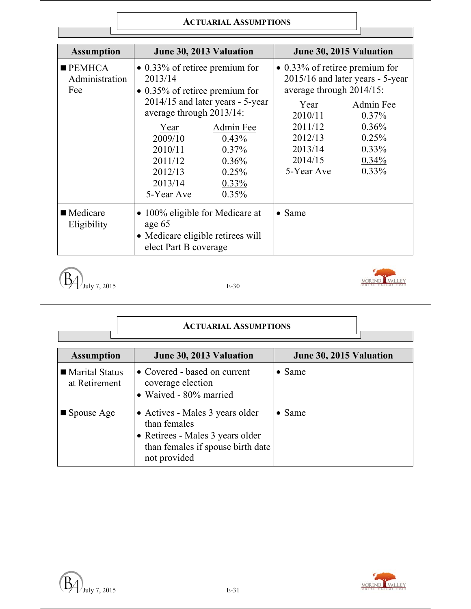| <b>Assumption</b>                              |                                                                                                                                                                                                      | June 30, 2013 Valuation                                                                                |                                                                                                                                                 | June 30, 2015 Valuation                                                                                      |
|------------------------------------------------|------------------------------------------------------------------------------------------------------------------------------------------------------------------------------------------------------|--------------------------------------------------------------------------------------------------------|-------------------------------------------------------------------------------------------------------------------------------------------------|--------------------------------------------------------------------------------------------------------------|
| $\blacksquare$ PEMHCA<br>Administration<br>Fee | $\bullet$ 0.33% of retiree premium for<br>2013/14<br>$\bullet$ 0.35% of retiree premium for<br>average through 2013/14:<br>Year<br>2009/10<br>2010/11<br>2011/12<br>2012/13<br>2013/14<br>5-Year Ave | 2014/15 and later years - 5-year<br>Admin Fee<br>0.43%<br>0.37%<br>$0.36\%$<br>0.25%<br>0.33%<br>0.35% | $\bullet$ 0.33% of retiree premium for<br>average through 2014/15:<br>Year<br>2010/11<br>2011/12<br>2012/13<br>2013/14<br>2014/15<br>5-Year Ave | 2015/16 and later years - 5-year<br>Admin Fee<br>$0.37\%$<br>0.36%<br>0.25%<br>$0.33\%$<br>0.34%<br>$0.33\%$ |
| ■ Medicare<br>Eligibility                      | • 100% eligible for Medicare at<br>age 65<br>• Medicare eligible retirees will<br>elect Part B coverage                                                                                              |                                                                                                        | $\bullet$ Same                                                                                                                                  |                                                                                                              |

 $\left(\overline{\mathbf{B}}\right)$  July 7, 2015 E-30



| <b>Assumption</b>                 | June 30, 2013 Valuation                                                                                                                  | June 30, 2015 Valuation |
|-----------------------------------|------------------------------------------------------------------------------------------------------------------------------------------|-------------------------|
| ■ Marital Status<br>at Retirement | • Covered - based on current<br>coverage election<br>• Waived - 80% married                                                              | $\bullet$ Same          |
| $\blacksquare$ Spouse Age         | • Actives - Males 3 years older<br>than females<br>• Retirees - Males 3 years older<br>than females if spouse birth date<br>not provided | $\bullet$ Same          |

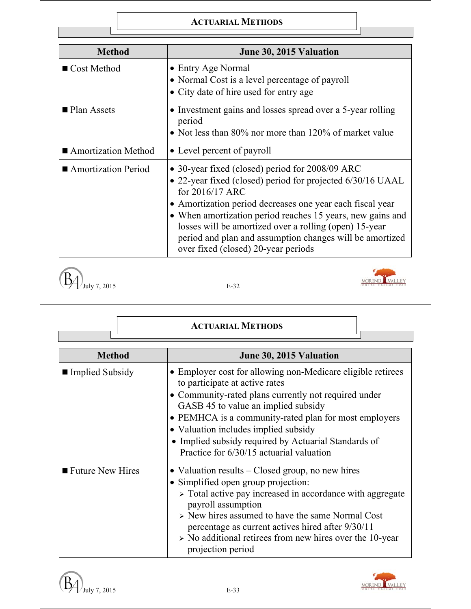### **ACTUARIAL METHODS**

| <b>Method</b>              | June 30, 2015 Valuation                                                                                                                                                                                                                                                                                                                                                                                                  |
|----------------------------|--------------------------------------------------------------------------------------------------------------------------------------------------------------------------------------------------------------------------------------------------------------------------------------------------------------------------------------------------------------------------------------------------------------------------|
| $\blacksquare$ Cost Method | • Entry Age Normal<br>• Normal Cost is a level percentage of payroll<br>• City date of hire used for entry age                                                                                                                                                                                                                                                                                                           |
| ■ Plan Assets              | • Investment gains and losses spread over a 5-year rolling<br>period<br>• Not less than 80% nor more than 120% of market value                                                                                                                                                                                                                                                                                           |
| ■ Amortization Method      | • Level percent of payroll                                                                                                                                                                                                                                                                                                                                                                                               |
| Amortization Period        | • 30-year fixed (closed) period for 2008/09 ARC<br>• 22-year fixed (closed) period for projected 6/30/16 UAAL<br>for 2016/17 ARC<br>• Amortization period decreases one year each fiscal year<br>• When amortization period reaches 15 years, new gains and<br>losses will be amortized over a rolling (open) 15-year<br>period and plan and assumption changes will be amortized<br>over fixed (closed) 20-year periods |

 $\left(\overline{B_4}\right)_{\text{July 7, 2015}}$ 

 $\sqrt{ }$ 

| v<br>۹ |
|--------|
|--------|



|                    | <b>ACTUARIAL METHODS</b>                                                                                                                                                                                                                                                                                                                                                                          |
|--------------------|---------------------------------------------------------------------------------------------------------------------------------------------------------------------------------------------------------------------------------------------------------------------------------------------------------------------------------------------------------------------------------------------------|
| <b>Method</b>      | June 30, 2015 Valuation                                                                                                                                                                                                                                                                                                                                                                           |
| ■ Implied Subsidy  | • Employer cost for allowing non-Medicare eligible retirees<br>to participate at active rates<br>• Community-rated plans currently not required under<br>GASB 45 to value an implied subsidy<br>• PEMHCA is a community-rated plan for most employers<br>• Valuation includes implied subsidy<br>• Implied subsidy required by Actuarial Standards of<br>Practice for 6/30/15 actuarial valuation |
| ■ Future New Hires | • Valuation results – Closed group, no new hires<br>• Simplified open group projection:<br>> Total active pay increased in accordance with aggregate<br>payroll assumption<br>> New hires assumed to have the same Normal Cost<br>percentage as current actives hired after 9/30/11<br>$\triangleright$ No additional retirees from new hires over the 10-year<br>projection period               |



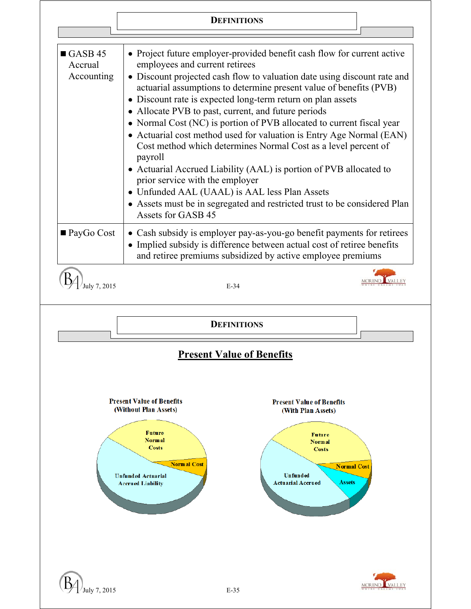# **DEFINITIONS**

| $\blacksquare$ GASB 45<br>Accrual<br>Accounting | • Project future employer-provided benefit cash flow for current active<br>employees and current retirees<br>• Discount projected cash flow to valuation date using discount rate and<br>actuarial assumptions to determine present value of benefits (PVB)<br>• Discount rate is expected long-term return on plan assets<br>• Allocate PVB to past, current, and future periods<br>• Normal Cost (NC) is portion of PVB allocated to current fiscal year<br>• Actuarial cost method used for valuation is Entry Age Normal (EAN)<br>Cost method which determines Normal Cost as a level percent of<br>payroll<br>• Actuarial Accrued Liability (AAL) is portion of PVB allocated to<br>prior service with the employer<br>• Unfunded AAL (UAAL) is AAL less Plan Assets<br>• Assets must be in segregated and restricted trust to be considered Plan<br>Assets for GASB 45 |                                                                                                                                                     |                    |
|-------------------------------------------------|------------------------------------------------------------------------------------------------------------------------------------------------------------------------------------------------------------------------------------------------------------------------------------------------------------------------------------------------------------------------------------------------------------------------------------------------------------------------------------------------------------------------------------------------------------------------------------------------------------------------------------------------------------------------------------------------------------------------------------------------------------------------------------------------------------------------------------------------------------------------------|-----------------------------------------------------------------------------------------------------------------------------------------------------|--------------------|
| $\blacksquare$ PayGo Cost                       | • Cash subsidy is employer pay-as-you-go benefit payments for retirees<br>• Implied subsidy is difference between actual cost of retiree benefits<br>and retiree premiums subsidized by active employee premiums                                                                                                                                                                                                                                                                                                                                                                                                                                                                                                                                                                                                                                                             |                                                                                                                                                     |                    |
| uly 7, 2015                                     | $E-34$                                                                                                                                                                                                                                                                                                                                                                                                                                                                                                                                                                                                                                                                                                                                                                                                                                                                       |                                                                                                                                                     |                    |
|                                                 |                                                                                                                                                                                                                                                                                                                                                                                                                                                                                                                                                                                                                                                                                                                                                                                                                                                                              | <b>DEFINITIONS</b>                                                                                                                                  |                    |
|                                                 |                                                                                                                                                                                                                                                                                                                                                                                                                                                                                                                                                                                                                                                                                                                                                                                                                                                                              | <b>Present Value of Benefits</b>                                                                                                                    |                    |
|                                                 | <b>Present Value of Benefits</b><br>(Without Plan Assets)<br>Future<br><b>Normal</b><br><b>Costs</b><br><b>Normal Cost</b><br><b>Unfunded Actuarial</b><br><b>Accrued Liability</b>                                                                                                                                                                                                                                                                                                                                                                                                                                                                                                                                                                                                                                                                                          | <b>Present Value of Benefits</b><br>(With Plan Assets)<br><b>Future</b><br>Normal<br><b>Costs</b><br>Unfunded<br>Assets<br><b>Actuarial Accrued</b> | <b>Normal Cost</b> |
| July 7, 2015                                    |                                                                                                                                                                                                                                                                                                                                                                                                                                                                                                                                                                                                                                                                                                                                                                                                                                                                              | $E-35$                                                                                                                                              |                    |